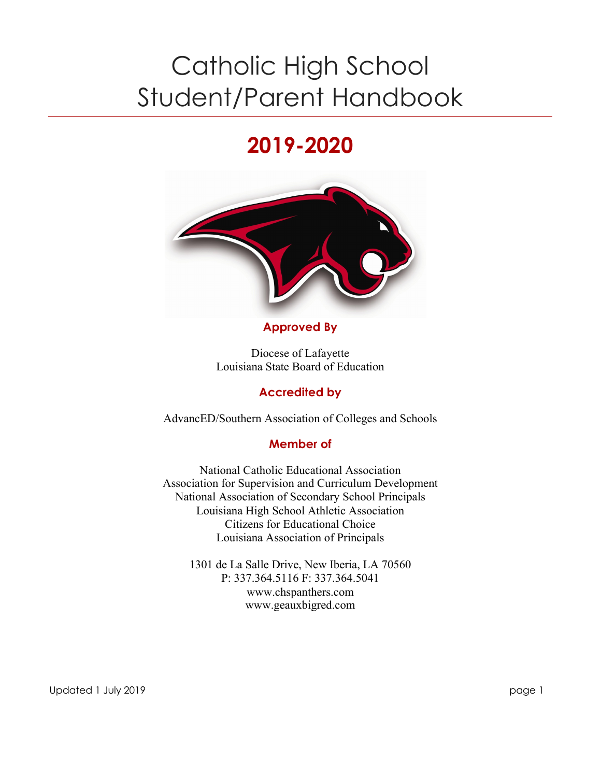# Catholic High School Student/Parent Handbook

# **2019-2020**



#### **Approved By**

Diocese of Lafayette Louisiana State Board of Education

#### **Accredited by**

AdvancED/Southern Association of Colleges and Schools

#### **Member of**

National Catholic Educational Association Association for Supervision and Curriculum Development National Association of Secondary School Principals Louisiana High School Athletic Association Citizens for Educational Choice Louisiana Association of Principals

1301 de La Salle Drive, New Iberia, LA 70560 P: 337.364.5116 F: 337.364.5041 www.chspanthers.com www.geauxbigred.com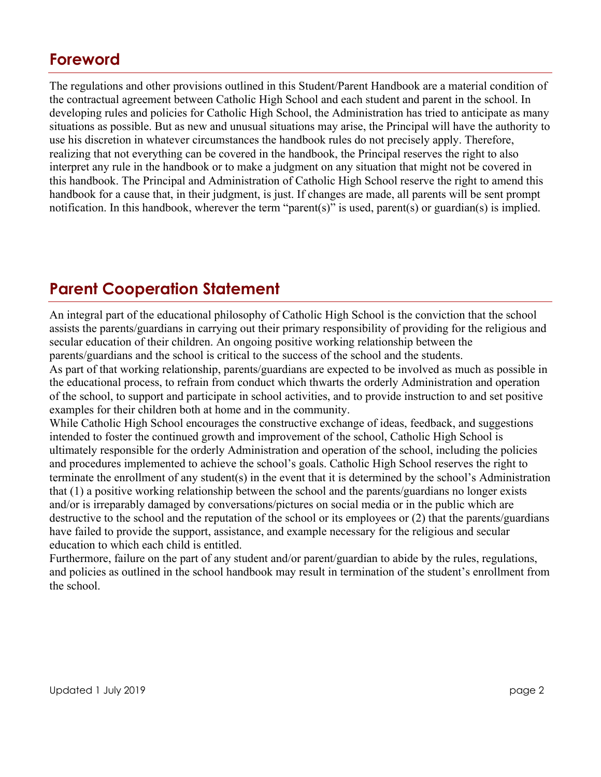## **Foreword**

The regulations and other provisions outlined in this Student/Parent Handbook are a material condition of the contractual agreement between Catholic High School and each student and parent in the school. In developing rules and policies for Catholic High School, the Administration has tried to anticipate as many situations as possible. But as new and unusual situations may arise, the Principal will have the authority to use his discretion in whatever circumstances the handbook rules do not precisely apply. Therefore, realizing that not everything can be covered in the handbook, the Principal reserves the right to also interpret any rule in the handbook or to make a judgment on any situation that might not be covered in this handbook. The Principal and Administration of Catholic High School reserve the right to amend this handbook for a cause that, in their judgment, is just. If changes are made, all parents will be sent prompt notification. In this handbook, wherever the term "parent(s)" is used, parent(s) or guardian(s) is implied.

## **Parent Cooperation Statement**

An integral part of the educational philosophy of Catholic High School is the conviction that the school assists the parents/guardians in carrying out their primary responsibility of providing for the religious and secular education of their children. An ongoing positive working relationship between the parents/guardians and the school is critical to the success of the school and the students.

As part of that working relationship, parents/guardians are expected to be involved as much as possible in the educational process, to refrain from conduct which thwarts the orderly Administration and operation of the school, to support and participate in school activities, and to provide instruction to and set positive examples for their children both at home and in the community.

While Catholic High School encourages the constructive exchange of ideas, feedback, and suggestions intended to foster the continued growth and improvement of the school, Catholic High School is ultimately responsible for the orderly Administration and operation of the school, including the policies and procedures implemented to achieve the school's goals. Catholic High School reserves the right to terminate the enrollment of any student(s) in the event that it is determined by the school's Administration that (1) a positive working relationship between the school and the parents/guardians no longer exists and/or is irreparably damaged by conversations/pictures on social media or in the public which are destructive to the school and the reputation of the school or its employees or (2) that the parents/guardians have failed to provide the support, assistance, and example necessary for the religious and secular education to which each child is entitled.

Furthermore, failure on the part of any student and/or parent/guardian to abide by the rules, regulations, and policies as outlined in the school handbook may result in termination of the student's enrollment from the school.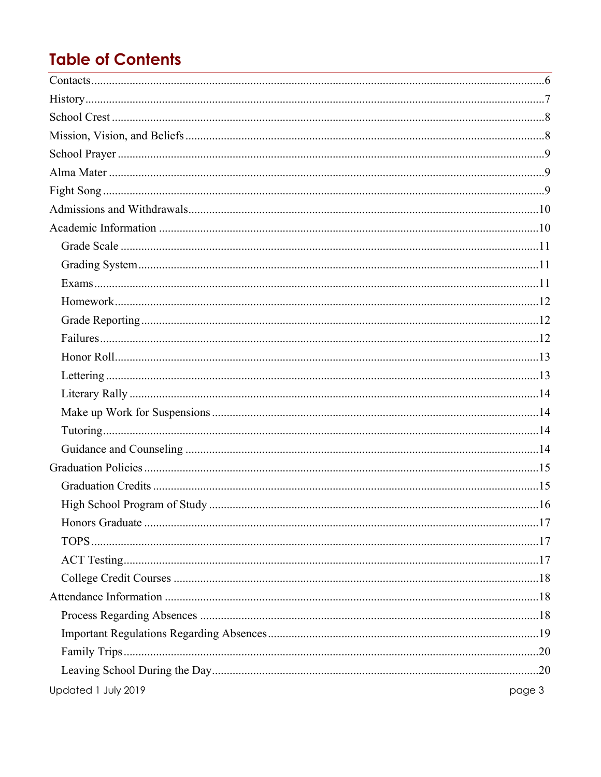## **Table of Contents**

| Updated 1 July 2019 | page 3 |
|---------------------|--------|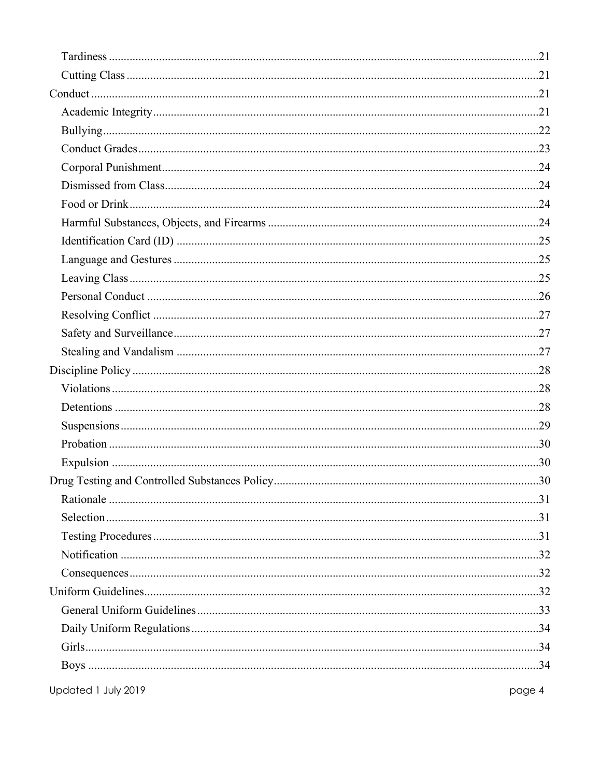| Updated 1 July 2019 | page 4 |
|---------------------|--------|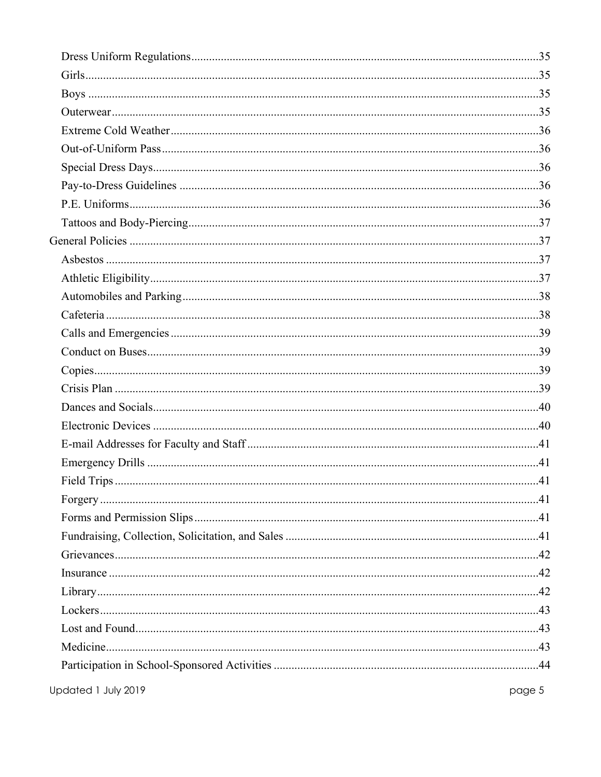Updated 1 July 2019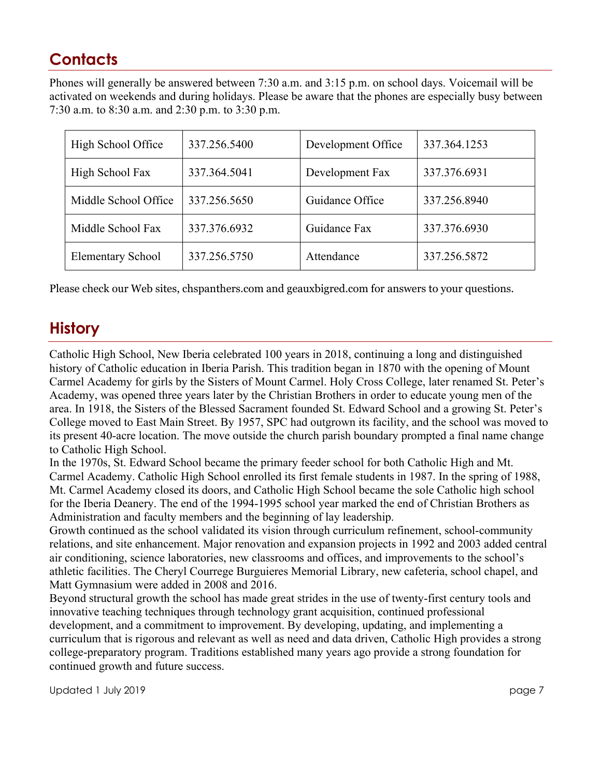## **Contacts**

Phones will generally be answered between 7:30 a.m. and 3:15 p.m. on school days. Voicemail will be activated on weekends and during holidays. Please be aware that the phones are especially busy between 7:30 a.m. to 8:30 a.m. and 2:30 p.m. to 3:30 p.m.

| High School Office       | 337.256.5400 | Development Office | 337.364.1253 |
|--------------------------|--------------|--------------------|--------------|
| High School Fax          | 337.364.5041 | Development Fax    | 337.376.6931 |
| Middle School Office     | 337.256.5650 | Guidance Office    | 337.256.8940 |
| Middle School Fax        | 337.376.6932 | Guidance Fax       | 337.376.6930 |
| <b>Elementary School</b> | 337.256.5750 | Attendance         | 337.256.5872 |

Please check our Web sites, chspanthers.com and geauxbigred.com for answers to your questions.

## **History**

Catholic High School, New Iberia celebrated 100 years in 2018, continuing a long and distinguished history of Catholic education in Iberia Parish. This tradition began in 1870 with the opening of Mount Carmel Academy for girls by the Sisters of Mount Carmel. Holy Cross College, later renamed St. Peter's Academy, was opened three years later by the Christian Brothers in order to educate young men of the area. In 1918, the Sisters of the Blessed Sacrament founded St. Edward School and a growing St. Peter's College moved to East Main Street. By 1957, SPC had outgrown its facility, and the school was moved to its present 40-acre location. The move outside the church parish boundary prompted a final name change to Catholic High School.

In the 1970s, St. Edward School became the primary feeder school for both Catholic High and Mt. Carmel Academy. Catholic High School enrolled its first female students in 1987. In the spring of 1988, Mt. Carmel Academy closed its doors, and Catholic High School became the sole Catholic high school for the Iberia Deanery. The end of the 1994-1995 school year marked the end of Christian Brothers as Administration and faculty members and the beginning of lay leadership.

Growth continued as the school validated its vision through curriculum refinement, school-community relations, and site enhancement. Major renovation and expansion projects in 1992 and 2003 added central air conditioning, science laboratories, new classrooms and offices, and improvements to the school's athletic facilities. The Cheryl Courrege Burguieres Memorial Library, new cafeteria, school chapel, and Matt Gymnasium were added in 2008 and 2016.

Beyond structural growth the school has made great strides in the use of twenty-first century tools and innovative teaching techniques through technology grant acquisition, continued professional development, and a commitment to improvement. By developing, updating, and implementing a curriculum that is rigorous and relevant as well as need and data driven, Catholic High provides a strong college-preparatory program. Traditions established many years ago provide a strong foundation for continued growth and future success.

Updated 1 July 2019 **page 7**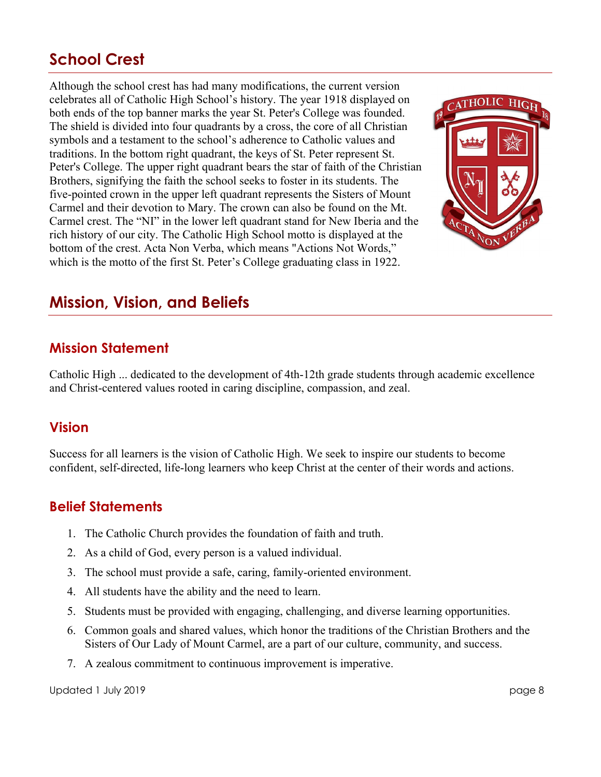## **School Crest**

Although the school crest has had many modifications, the current version celebrates all of Catholic High School's history. The year 1918 displayed on both ends of the top banner marks the year St. Peter's College was founded. The shield is divided into four quadrants by a cross, the core of all Christian symbols and a testament to the school's adherence to Catholic values and traditions. In the bottom right quadrant, the keys of St. Peter represent St. Peter's College. The upper right quadrant bears the star of faith of the Christian Brothers, signifying the faith the school seeks to foster in its students. The five-pointed crown in the upper left quadrant represents the Sisters of Mount Carmel and their devotion to Mary. The crown can also be found on the Mt. Carmel crest. The "NI" in the lower left quadrant stand for New Iberia and the rich history of our city. The Catholic High School motto is displayed at the bottom of the crest. Acta Non Verba, which means "Actions Not Words," which is the motto of the first St. Peter's College graduating class in 1922.



## **Mission, Vision, and Beliefs**

#### **Mission Statement**

Catholic High ... dedicated to the development of 4th-12th grade students through academic excellence and Christ-centered values rooted in caring discipline, compassion, and zeal.

#### **Vision**

Success for all learners is the vision of Catholic High. We seek to inspire our students to become confident, self-directed, life-long learners who keep Christ at the center of their words and actions.

#### **Belief Statements**

- 1. The Catholic Church provides the foundation of faith and truth.
- 2. As a child of God, every person is a valued individual.
- 3. The school must provide a safe, caring, family-oriented environment.
- 4. All students have the ability and the need to learn.
- 5. Students must be provided with engaging, challenging, and diverse learning opportunities.
- 6. Common goals and shared values, which honor the traditions of the Christian Brothers and the Sisters of Our Lady of Mount Carmel, are a part of our culture, community, and success.
- 7. A zealous commitment to continuous improvement is imperative.

Updated 1 July 2019 page 8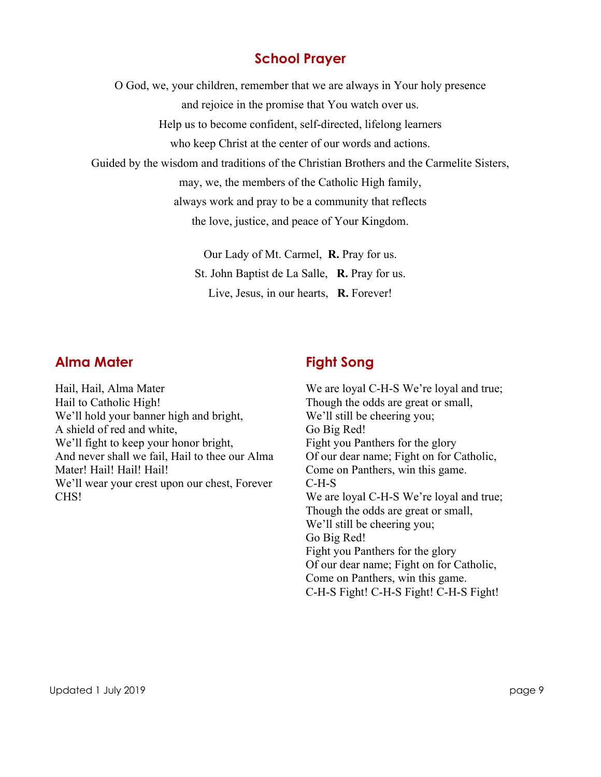#### **School Prayer**

O God, we, your children, remember that we are always in Your holy presence

and rejoice in the promise that You watch over us.

Help us to become confident, self-directed, lifelong learners

who keep Christ at the center of our words and actions.

Guided by the wisdom and traditions of the Christian Brothers and the Carmelite Sisters,

may, we, the members of the Catholic High family,

always work and pray to be a community that reflects

the love, justice, and peace of Your Kingdom.

Our Lady of Mt. Carmel, **R.** Pray for us. St. John Baptist de La Salle, **R.** Pray for us. Live, Jesus, in our hearts, **R.** Forever!

#### **Alma Mater**

#### Hail, Hail, Alma Mater Hail to Catholic High! We'll hold your banner high and bright, A shield of red and white, We'll fight to keep your honor bright, And never shall we fail, Hail to thee our Alma Mater! Hail! Hail! Hail! We'll wear your crest upon our chest, Forever CHS!

## **Fight Song**

We are loyal C-H-S We're loyal and true; Though the odds are great or small, We'll still be cheering you; Go Big Red! Fight you Panthers for the glory Of our dear name; Fight on for Catholic, Come on Panthers, win this game. C-H-S We are loyal C-H-S We're loyal and true; Though the odds are great or small, We'll still be cheering you; Go Big Red! Fight you Panthers for the glory Of our dear name; Fight on for Catholic, Come on Panthers, win this game. C-H-S Fight! C-H-S Fight! C-H-S Fight!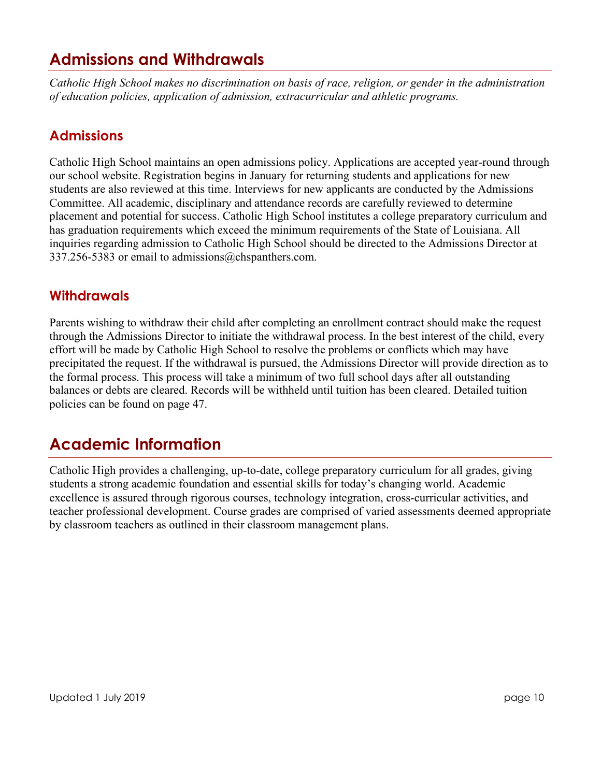## **Admissions and Withdrawals**

*Catholic High School makes no discrimination on basis of race, religion, or gender in the administration of education policies, application of admission, extracurricular and athletic programs.*

#### **Admissions**

Catholic High School maintains an open admissions policy. Applications are accepted year-round through our school website. Registration begins in January for returning students and applications for new students are also reviewed at this time. Interviews for new applicants are conducted by the Admissions Committee. All academic, disciplinary and attendance records are carefully reviewed to determine placement and potential for success. Catholic High School institutes a college preparatory curriculum and has graduation requirements which exceed the minimum requirements of the State of Louisiana. All inquiries regarding admission to Catholic High School should be directed to the Admissions Director at 337.256-5383 or email to admissions@chspanthers.com.

#### **Withdrawals**

Parents wishing to withdraw their child after completing an enrollment contract should make the request through the Admissions Director to initiate the withdrawal process. In the best interest of the child, every effort will be made by Catholic High School to resolve the problems or conflicts which may have precipitated the request. If the withdrawal is pursued, the Admissions Director will provide direction as to the formal process. This process will take a minimum of two full school days after all outstanding balances or debts are cleared. Records will be withheld until tuition has been cleared. Detailed tuition policies can be found on page 47.

## **Academic Information**

Catholic High provides a challenging, up-to-date, college preparatory curriculum for all grades, giving students a strong academic foundation and essential skills for today's changing world. Academic excellence is assured through rigorous courses, technology integration, cross-curricular activities, and teacher professional development. Course grades are comprised of varied assessments deemed appropriate by classroom teachers as outlined in their classroom management plans.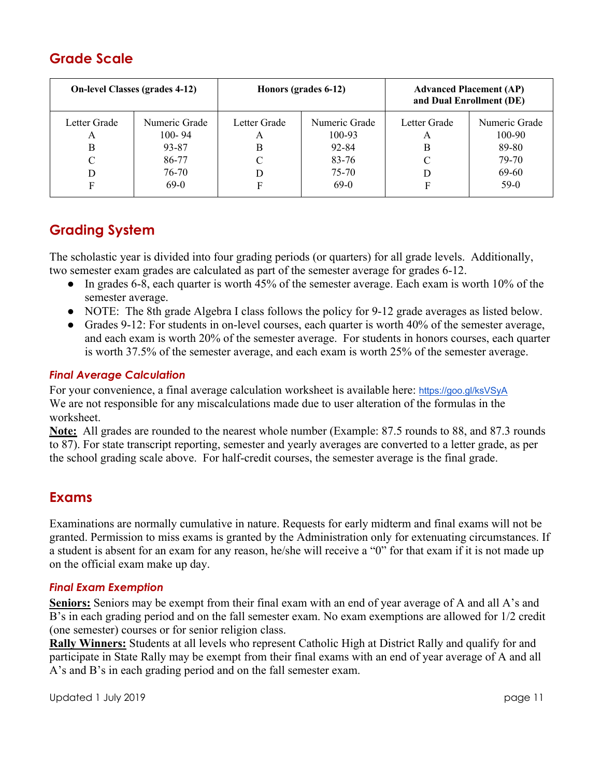### **Grade Scale**

| <b>On-level Classes (grades 4-12)</b> |                                                                | Honors (grades 6-12)        |                                                            | <b>Advanced Placement (AP)</b><br>and Dual Enrollment (DE) |                                                              |
|---------------------------------------|----------------------------------------------------------------|-----------------------------|------------------------------------------------------------|------------------------------------------------------------|--------------------------------------------------------------|
| Letter Grade<br>A<br>B<br>C<br>D<br>F | Numeric Grade<br>$100 - 94$<br>93-87<br>86-77<br>76-70<br>69-0 | Letter Grade<br>A<br>В<br>F | Numeric Grade<br>100-93<br>92-84<br>83-76<br>75-70<br>69-0 | Letter Grade<br>A<br>В<br>С                                | Numeric Grade<br>100-90<br>89-80<br>79-70<br>69-60<br>$59-0$ |

## **Grading System**

The scholastic year is divided into four grading periods (or quarters) for all grade levels. Additionally, two semester exam grades are calculated as part of the semester average for grades 6-12.

- In grades 6-8, each quarter is worth 45% of the semester average. Each exam is worth 10% of the semester average.
- NOTE: The 8th grade Algebra I class follows the policy for 9-12 grade averages as listed below.
- Grades 9-12: For students in on-level courses, each quarter is worth 40% of the semester average, and each exam is worth 20% of the semester average. For students in honors courses, each quarter is worth 37.5% of the semester average, and each exam is worth 25% of the semester average.

#### *Final Average Calculation*

For your convenience, a final average calculation worksheet is available here: https://goo.gl/ksVSyA We are not responsible for any miscalculations made due to user alteration of the formulas in the worksheet.

**Note:** All grades are rounded to the nearest whole number (Example: 87.5 rounds to 88, and 87.3 rounds to 87). For state transcript reporting, semester and yearly averages are converted to a letter grade, as per the school grading scale above. For half-credit courses, the semester average is the final grade.

#### **Exams**

Examinations are normally cumulative in nature. Requests for early midterm and final exams will not be granted. Permission to miss exams is granted by the Administration only for extenuating circumstances. If a student is absent for an exam for any reason, he/she will receive a "0" for that exam if it is not made up on the official exam make up day.

#### *Final Exam Exemption*

**Seniors:** Seniors may be exempt from their final exam with an end of year average of A and all A's and B's in each grading period and on the fall semester exam. No exam exemptions are allowed for 1/2 credit (one semester) courses or for senior religion class.

**Rally Winners:** Students at all levels who represent Catholic High at District Rally and qualify for and participate in State Rally may be exempt from their final exams with an end of year average of A and all A's and B's in each grading period and on the fall semester exam.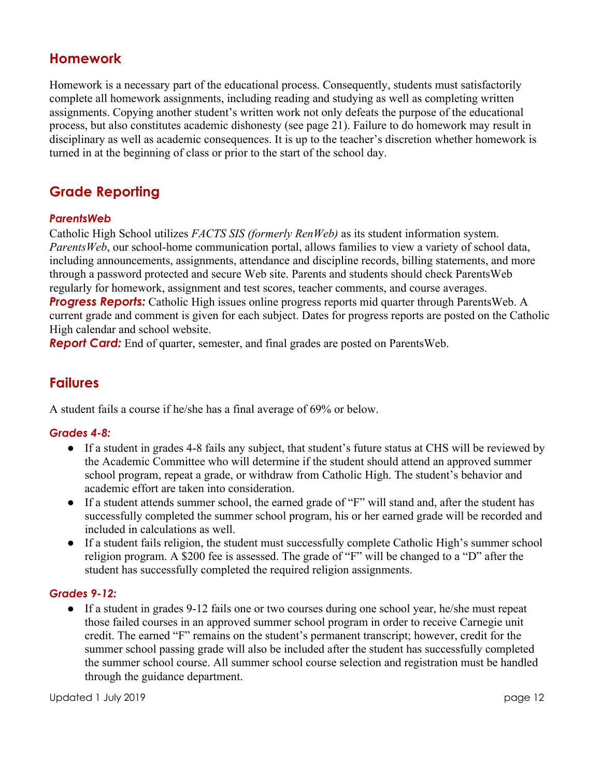#### **Homework**

Homework is a necessary part of the educational process. Consequently, students must satisfactorily complete all homework assignments, including reading and studying as well as completing written assignments. Copying another student's written work not only defeats the purpose of the educational process, but also constitutes academic dishonesty (see page 21). Failure to do homework may result in disciplinary as well as academic consequences. It is up to the teacher's discretion whether homework is turned in at the beginning of class or prior to the start of the school day.

### **Grade Reporting**

#### *ParentsWeb*

Catholic High School utilizes *FACTS SIS (formerly RenWeb)* as its student information system. *ParentsWeb*, our school-home communication portal, allows families to view a variety of school data, including announcements, assignments, attendance and discipline records, billing statements, and more through a password protected and secure Web site. Parents and students should check ParentsWeb regularly for homework, assignment and test scores, teacher comments, and course averages.

**Progress Reports:** Catholic High issues online progress reports mid quarter through ParentsWeb. A current grade and comment is given for each subject. Dates for progress reports are posted on the Catholic High calendar and school website.

*Report Card:* End of quarter, semester, and final grades are posted on ParentsWeb.

#### **Failures**

A student fails a course if he/she has a final average of 69% or below.

#### *Grades 4-8:*

- If a student in grades 4-8 fails any subject, that student's future status at CHS will be reviewed by the Academic Committee who will determine if the student should attend an approved summer school program, repeat a grade, or withdraw from Catholic High. The student's behavior and academic effort are taken into consideration.
- If a student attends summer school, the earned grade of "F" will stand and, after the student has successfully completed the summer school program, his or her earned grade will be recorded and included in calculations as well.
- If a student fails religion, the student must successfully complete Catholic High's summer school religion program. A \$200 fee is assessed. The grade of "F" will be changed to a "D" after the student has successfully completed the required religion assignments.

#### *Grades 9-12:*

● If a student in grades 9-12 fails one or two courses during one school year, he/she must repeat those failed courses in an approved summer school program in order to receive Carnegie unit credit. The earned "F" remains on the student's permanent transcript; however, credit for the summer school passing grade will also be included after the student has successfully completed the summer school course. All summer school course selection and registration must be handled through the guidance department.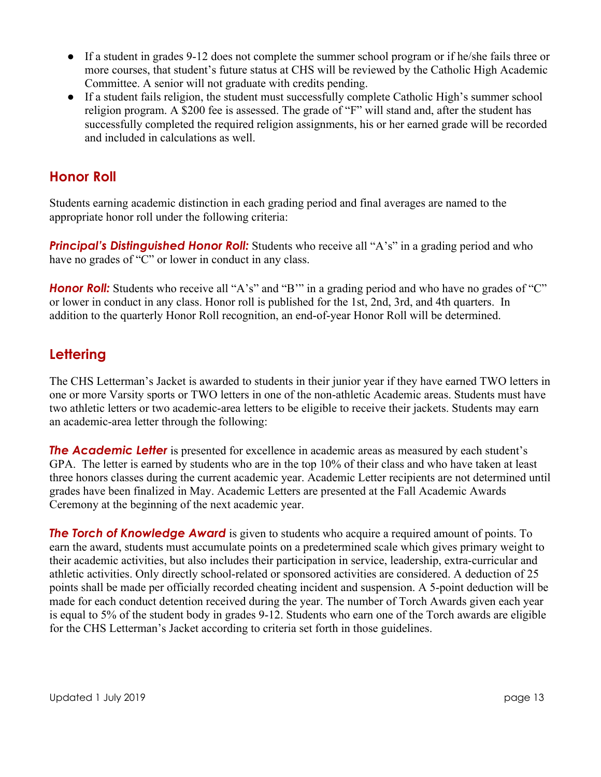- If a student in grades 9-12 does not complete the summer school program or if he/she fails three or more courses, that student's future status at CHS will be reviewed by the Catholic High Academic Committee. A senior will not graduate with credits pending.
- If a student fails religion, the student must successfully complete Catholic High's summer school religion program. A \$200 fee is assessed. The grade of "F" will stand and, after the student has successfully completed the required religion assignments, his or her earned grade will be recorded and included in calculations as well.

#### **Honor Roll**

Students earning academic distinction in each grading period and final averages are named to the appropriate honor roll under the following criteria:

**Principal's Distinguished Honor Roll:** Students who receive all "A's" in a grading period and who have no grades of "C" or lower in conduct in any class.

*Honor Roll:* Students who receive all "A's" and "B" in a grading period and who have no grades of "C" or lower in conduct in any class. Honor roll is published for the 1st, 2nd, 3rd, and 4th quarters. In addition to the quarterly Honor Roll recognition, an end-of-year Honor Roll will be determined.

### **Lettering**

The CHS Letterman's Jacket is awarded to students in their junior year if they have earned TWO letters in one or more Varsity sports or TWO letters in one of the non-athletic Academic areas. Students must have two athletic letters or two academic-area letters to be eligible to receive their jackets. Students may earn an academic-area letter through the following:

**The Academic Letter** is presented for excellence in academic areas as measured by each student's GPA. The letter is earned by students who are in the top 10% of their class and who have taken at least three honors classes during the current academic year. Academic Letter recipients are not determined until grades have been finalized in May. Academic Letters are presented at the Fall Academic Awards Ceremony at the beginning of the next academic year.

**The Torch of Knowledge Award** is given to students who acquire a required amount of points. To earn the award, students must accumulate points on a predetermined scale which gives primary weight to their academic activities, but also includes their participation in service, leadership, extra-curricular and athletic activities. Only directly school-related or sponsored activities are considered. A deduction of 25 points shall be made per officially recorded cheating incident and suspension. A 5-point deduction will be made for each conduct detention received during the year. The number of Torch Awards given each year is equal to 5% of the student body in grades 9-12. Students who earn one of the Torch awards are eligible for the CHS Letterman's Jacket according to criteria set forth in those guidelines.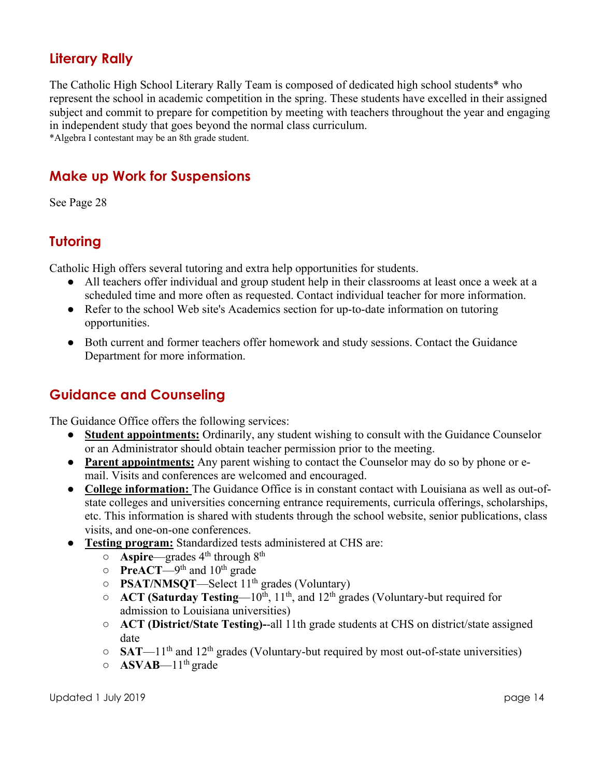#### **Literary Rally**

The Catholic High School Literary Rally Team is composed of dedicated high school students\* who represent the school in academic competition in the spring. These students have excelled in their assigned subject and commit to prepare for competition by meeting with teachers throughout the year and engaging in independent study that goes beyond the normal class curriculum.

\*Algebra I contestant may be an 8th grade student.

### **Make up Work for Suspensions**

See Page 28

## **Tutoring**

Catholic High offers several tutoring and extra help opportunities for students.

- All teachers offer individual and group student help in their classrooms at least once a week at a scheduled time and more often as requested. Contact individual teacher for more information.
- Refer to the school Web site's Academics section for up-to-date information on tutoring opportunities.
- Both current and former teachers offer homework and study sessions. Contact the Guidance Department for more information.

### **Guidance and Counseling**

The Guidance Office offers the following services:

- **Student appointments:** Ordinarily, any student wishing to consult with the Guidance Counselor or an Administrator should obtain teacher permission prior to the meeting.
- **Parent appointments:** Any parent wishing to contact the Counselor may do so by phone or email. Visits and conferences are welcomed and encouraged.
- **College information:** The Guidance Office is in constant contact with Louisiana as well as out-ofstate colleges and universities concerning entrance requirements, curricula offerings, scholarships, etc. This information is shared with students through the school website, senior publications, class visits, and one-on-one conferences.
- **Testing program:** Standardized tests administered at CHS are:
	- **Aspire**—grades 4th through 8th
	- **PreACT**—9th and 10th grade
	- **PSAT/NMSQT**—Select 11th grades (Voluntary)
	- **ACT (Saturday Testing**—10th, 11th, and 12th grades (Voluntary-but required for admission to Louisiana universities)
	- **ACT (District/State Testing)-**-all 11th grade students at CHS on district/state assigned date
	- **SAT**—11th and 12th grades (Voluntary-but required by most out-of-state universities)
	- **ASVAB**—11th grade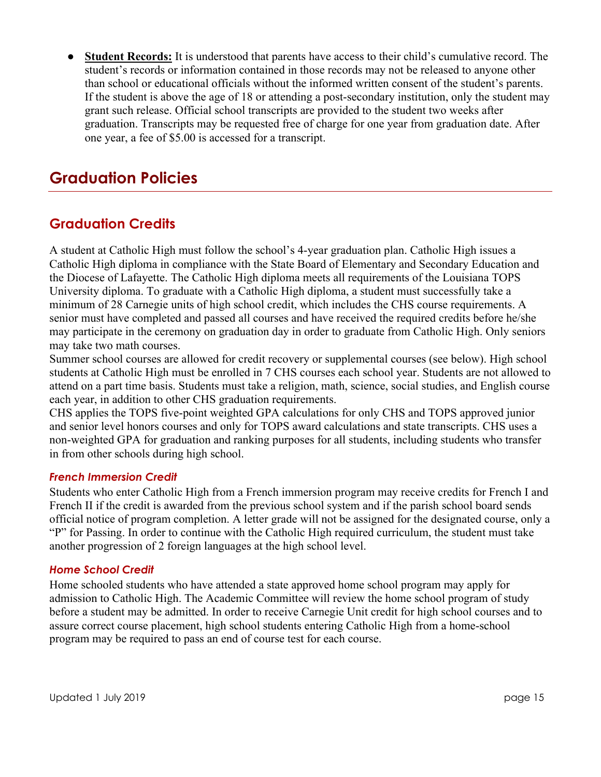● **Student Records:** It is understood that parents have access to their child's cumulative record. The student's records or information contained in those records may not be released to anyone other than school or educational officials without the informed written consent of the student's parents. If the student is above the age of 18 or attending a post-secondary institution, only the student may grant such release. Official school transcripts are provided to the student two weeks after graduation. Transcripts may be requested free of charge for one year from graduation date. After one year, a fee of \$5.00 is accessed for a transcript.

## **Graduation Policies**

#### **Graduation Credits**

A student at Catholic High must follow the school's 4-year graduation plan. Catholic High issues a Catholic High diploma in compliance with the State Board of Elementary and Secondary Education and the Diocese of Lafayette. The Catholic High diploma meets all requirements of the Louisiana TOPS University diploma. To graduate with a Catholic High diploma, a student must successfully take a minimum of 28 Carnegie units of high school credit, which includes the CHS course requirements. A senior must have completed and passed all courses and have received the required credits before he/she may participate in the ceremony on graduation day in order to graduate from Catholic High. Only seniors may take two math courses.

Summer school courses are allowed for credit recovery or supplemental courses (see below). High school students at Catholic High must be enrolled in 7 CHS courses each school year. Students are not allowed to attend on a part time basis. Students must take a religion, math, science, social studies, and English course each year, in addition to other CHS graduation requirements.

CHS applies the TOPS five-point weighted GPA calculations for only CHS and TOPS approved junior and senior level honors courses and only for TOPS award calculations and state transcripts. CHS uses a non-weighted GPA for graduation and ranking purposes for all students, including students who transfer in from other schools during high school.

#### *French Immersion Credit*

Students who enter Catholic High from a French immersion program may receive credits for French I and French II if the credit is awarded from the previous school system and if the parish school board sends official notice of program completion. A letter grade will not be assigned for the designated course, only a "P" for Passing. In order to continue with the Catholic High required curriculum, the student must take another progression of 2 foreign languages at the high school level.

#### *Home School Credit*

Home schooled students who have attended a state approved home school program may apply for admission to Catholic High. The Academic Committee will review the home school program of study before a student may be admitted. In order to receive Carnegie Unit credit for high school courses and to assure correct course placement, high school students entering Catholic High from a home-school program may be required to pass an end of course test for each course.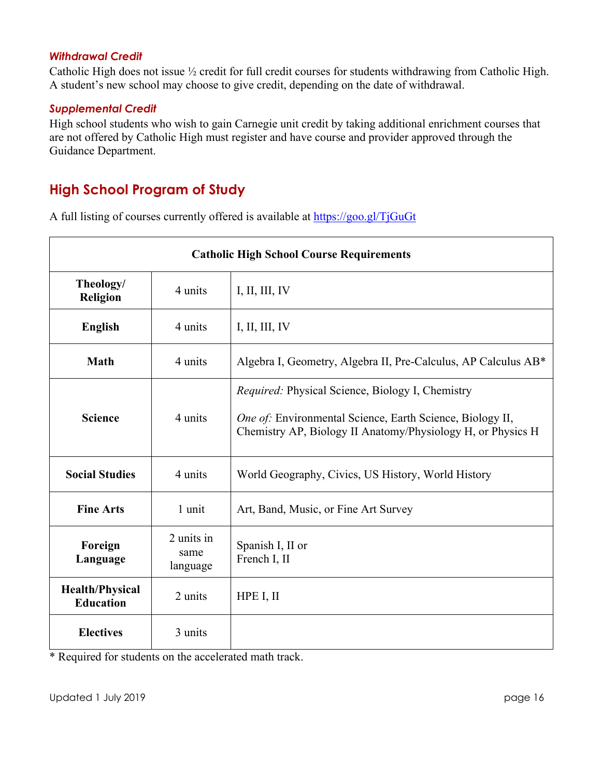#### *Withdrawal Credit*

Catholic High does not issue ½ credit for full credit courses for students withdrawing from Catholic High. A student's new school may choose to give credit, depending on the date of withdrawal.

#### *Supplemental Credit*

High school students who wish to gain Carnegie unit credit by taking additional enrichment courses that are not offered by Catholic High must register and have course and provider approved through the Guidance Department.

#### **High School Program of Study**

A full listing of courses currently offered is available at https://goo.gl/TjGuGt

| <b>Catholic High School Course Requirements</b> |                                |                                                                                                                                                                                     |  |  |
|-------------------------------------------------|--------------------------------|-------------------------------------------------------------------------------------------------------------------------------------------------------------------------------------|--|--|
| Theology/<br>4 units<br><b>Religion</b>         |                                | I, II, III, IV                                                                                                                                                                      |  |  |
| <b>English</b>                                  | 4 units                        | I, II, III, IV                                                                                                                                                                      |  |  |
| <b>Math</b>                                     | 4 units                        | Algebra I, Geometry, Algebra II, Pre-Calculus, AP Calculus AB*                                                                                                                      |  |  |
| <b>Science</b>                                  | 4 units                        | <i>Required:</i> Physical Science, Biology I, Chemistry<br>One of: Environmental Science, Earth Science, Biology II,<br>Chemistry AP, Biology II Anatomy/Physiology H, or Physics H |  |  |
| <b>Social Studies</b>                           | 4 units                        | World Geography, Civics, US History, World History                                                                                                                                  |  |  |
| <b>Fine Arts</b>                                | 1 unit                         | Art, Band, Music, or Fine Art Survey                                                                                                                                                |  |  |
| Foreign<br>Language                             | 2 units in<br>same<br>language | Spanish I, II or<br>French I, II                                                                                                                                                    |  |  |
| <b>Health/Physical</b><br><b>Education</b>      | 2 units                        | HPE I, II                                                                                                                                                                           |  |  |
| <b>Electives</b>                                | 3 units                        |                                                                                                                                                                                     |  |  |

\* Required for students on the accelerated math track.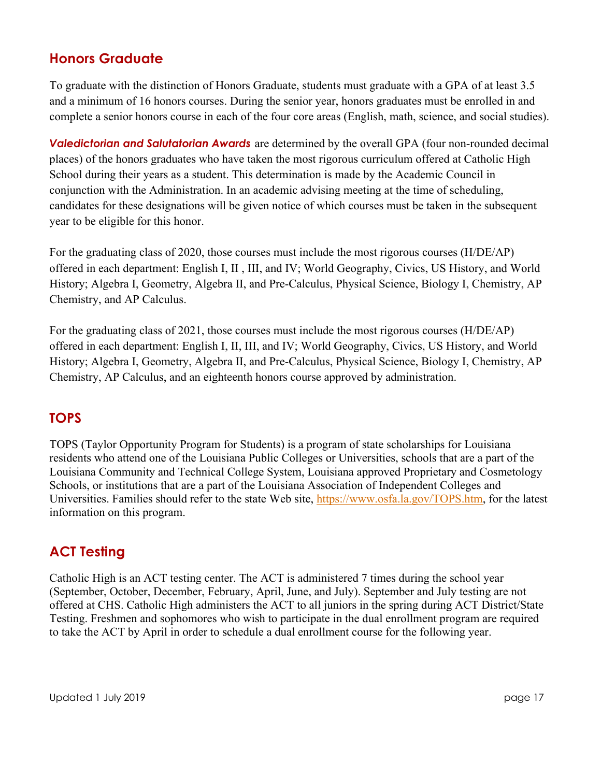#### **Honors Graduate**

To graduate with the distinction of Honors Graduate, students must graduate with a GPA of at least 3.5 and a minimum of 16 honors courses. During the senior year, honors graduates must be enrolled in and complete a senior honors course in each of the four core areas (English, math, science, and social studies).

*Valedictorian and Salutatorian Awards* are determined by the overall GPA (four non-rounded decimal places) of the honors graduates who have taken the most rigorous curriculum offered at Catholic High School during their years as a student. This determination is made by the Academic Council in conjunction with the Administration. In an academic advising meeting at the time of scheduling, candidates for these designations will be given notice of which courses must be taken in the subsequent year to be eligible for this honor.

For the graduating class of 2020, those courses must include the most rigorous courses (H/DE/AP) offered in each department: English I, II , III, and IV; World Geography, Civics, US History, and World History; Algebra I, Geometry, Algebra II, and Pre-Calculus, Physical Science, Biology I, Chemistry, AP Chemistry, and AP Calculus.

For the graduating class of 2021, those courses must include the most rigorous courses (H/DE/AP) offered in each department: English I, II, III, and IV; World Geography, Civics, US History, and World History; Algebra I, Geometry, Algebra II, and Pre-Calculus, Physical Science, Biology I, Chemistry, AP Chemistry, AP Calculus, and an eighteenth honors course approved by administration.

### **TOPS**

TOPS (Taylor Opportunity Program for Students) is a program of state scholarships for Louisiana residents who attend one of the Louisiana Public Colleges or Universities, schools that are a part of the Louisiana Community and Technical College System, Louisiana approved Proprietary and Cosmetology Schools, or institutions that are a part of the Louisiana Association of Independent Colleges and Universities. Families should refer to the state Web site, https://www.osfa.la.gov/TOPS.htm, for the latest information on this program.

### **ACT Testing**

Catholic High is an ACT testing center. The ACT is administered 7 times during the school year (September, October, December, February, April, June, and July). September and July testing are not offered at CHS. Catholic High administers the ACT to all juniors in the spring during ACT District/State Testing. Freshmen and sophomores who wish to participate in the dual enrollment program are required to take the ACT by April in order to schedule a dual enrollment course for the following year.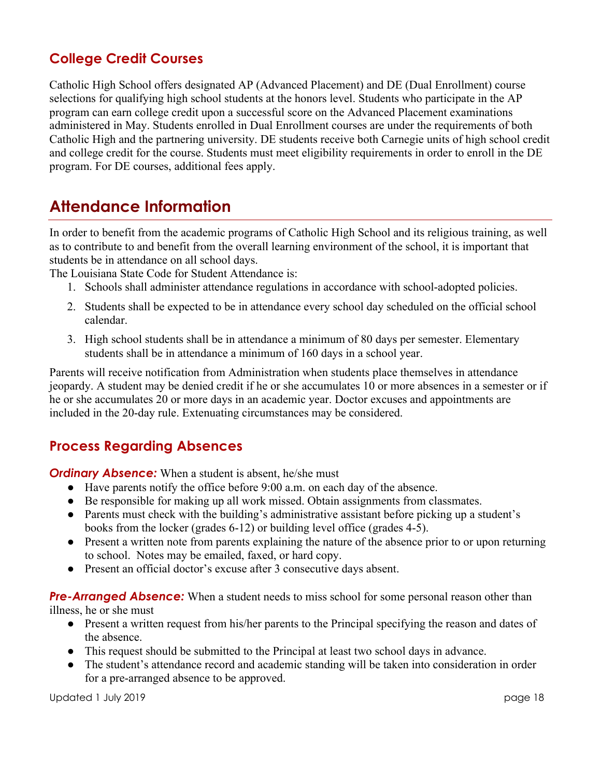## **College Credit Courses**

Catholic High School offers designated AP (Advanced Placement) and DE (Dual Enrollment) course selections for qualifying high school students at the honors level. Students who participate in the AP program can earn college credit upon a successful score on the Advanced Placement examinations administered in May. Students enrolled in Dual Enrollment courses are under the requirements of both Catholic High and the partnering university. DE students receive both Carnegie units of high school credit and college credit for the course. Students must meet eligibility requirements in order to enroll in the DE program. For DE courses, additional fees apply.

## **Attendance Information**

In order to benefit from the academic programs of Catholic High School and its religious training, as well as to contribute to and benefit from the overall learning environment of the school, it is important that students be in attendance on all school days.

The Louisiana State Code for Student Attendance is:

- 1. Schools shall administer attendance regulations in accordance with school-adopted policies.
- 2. Students shall be expected to be in attendance every school day scheduled on the official school calendar.
- 3. High school students shall be in attendance a minimum of 80 days per semester. Elementary students shall be in attendance a minimum of 160 days in a school year.

Parents will receive notification from Administration when students place themselves in attendance jeopardy. A student may be denied credit if he or she accumulates 10 or more absences in a semester or if he or she accumulates 20 or more days in an academic year. Doctor excuses and appointments are included in the 20-day rule. Extenuating circumstances may be considered.

### **Process Regarding Absences**

*Ordinary Absence:* When a student is absent, he/she must

- Have parents notify the office before 9:00 a.m. on each day of the absence.
- Be responsible for making up all work missed. Obtain assignments from classmates.
- Parents must check with the building's administrative assistant before picking up a student's books from the locker (grades 6-12) or building level office (grades 4-5).
- Present a written note from parents explaining the nature of the absence prior to or upon returning to school. Notes may be emailed, faxed, or hard copy.
- Present an official doctor's excuse after 3 consecutive days absent.

#### **Pre-Arranged Absence:** When a student needs to miss school for some personal reason other than

illness, he or she must

- Present a written request from his/her parents to the Principal specifying the reason and dates of the absence.
- This request should be submitted to the Principal at least two school days in advance.
- The student's attendance record and academic standing will be taken into consideration in order for a pre-arranged absence to be approved.

Updated 1 July 2019 page 18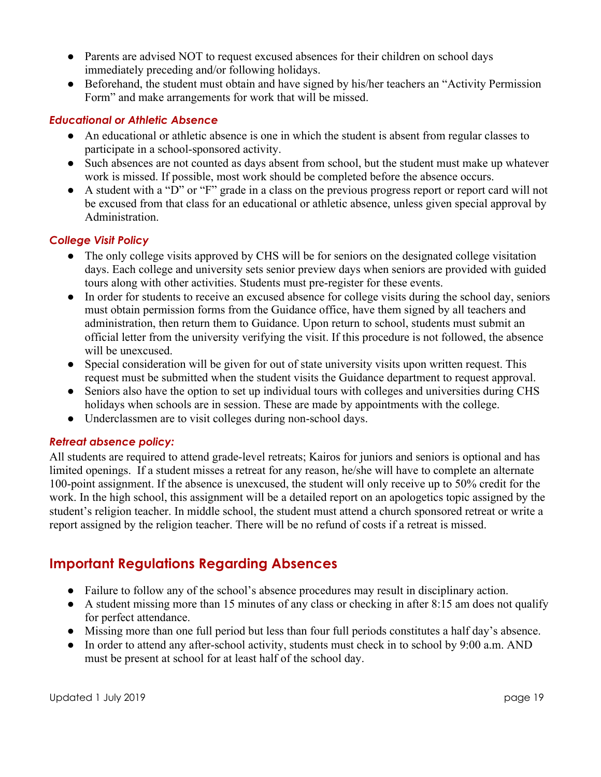- Parents are advised NOT to request excused absences for their children on school days immediately preceding and/or following holidays.
- Beforehand, the student must obtain and have signed by his/her teachers an "Activity Permission" Form" and make arrangements for work that will be missed.

#### *Educational or Athletic Absence*

- An educational or athletic absence is one in which the student is absent from regular classes to participate in a school-sponsored activity.
- Such absences are not counted as days absent from school, but the student must make up whatever work is missed. If possible, most work should be completed before the absence occurs.
- A student with a "D" or "F" grade in a class on the previous progress report or report card will not be excused from that class for an educational or athletic absence, unless given special approval by Administration.

#### *College Visit Policy*

- The only college visits approved by CHS will be for seniors on the designated college visitation days. Each college and university sets senior preview days when seniors are provided with guided tours along with other activities. Students must pre-register for these events.
- In order for students to receive an excused absence for college visits during the school day, seniors must obtain permission forms from the Guidance office, have them signed by all teachers and administration, then return them to Guidance. Upon return to school, students must submit an official letter from the university verifying the visit. If this procedure is not followed, the absence will be unexcused.
- Special consideration will be given for out of state university visits upon written request. This request must be submitted when the student visits the Guidance department to request approval.
- Seniors also have the option to set up individual tours with colleges and universities during CHS holidays when schools are in session. These are made by appointments with the college.
- Underclassmen are to visit colleges during non-school days.

#### *Retreat absence policy:*

All students are required to attend grade-level retreats; Kairos for juniors and seniors is optional and has limited openings. If a student misses a retreat for any reason, he/she will have to complete an alternate 100-point assignment. If the absence is unexcused, the student will only receive up to 50% credit for the work. In the high school, this assignment will be a detailed report on an apologetics topic assigned by the student's religion teacher. In middle school, the student must attend a church sponsored retreat or write a report assigned by the religion teacher. There will be no refund of costs if a retreat is missed.

#### **Important Regulations Regarding Absences**

- Failure to follow any of the school's absence procedures may result in disciplinary action.
- A student missing more than 15 minutes of any class or checking in after 8:15 am does not qualify for perfect attendance.
- Missing more than one full period but less than four full periods constitutes a half day's absence.
- In order to attend any after-school activity, students must check in to school by 9:00 a.m. AND must be present at school for at least half of the school day.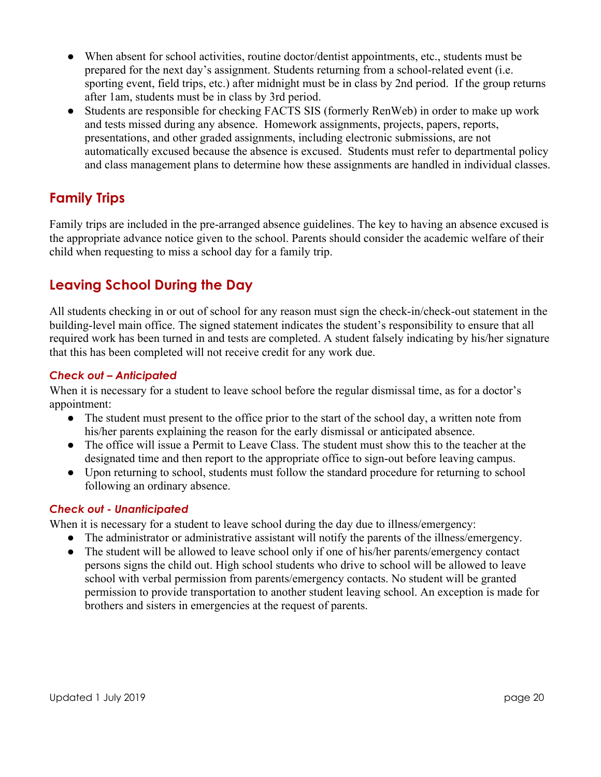- When absent for school activities, routine doctor/dentist appointments, etc., students must be prepared for the next day's assignment. Students returning from a school-related event (i.e. sporting event, field trips, etc.) after midnight must be in class by 2nd period. If the group returns after 1am, students must be in class by 3rd period.
- Students are responsible for checking FACTS SIS (formerly RenWeb) in order to make up work and tests missed during any absence. Homework assignments, projects, papers, reports, presentations, and other graded assignments, including electronic submissions, are not automatically excused because the absence is excused. Students must refer to departmental policy and class management plans to determine how these assignments are handled in individual classes.

## **Family Trips**

Family trips are included in the pre-arranged absence guidelines. The key to having an absence excused is the appropriate advance notice given to the school. Parents should consider the academic welfare of their child when requesting to miss a school day for a family trip.

### **Leaving School During the Day**

All students checking in or out of school for any reason must sign the check-in/check-out statement in the building-level main office. The signed statement indicates the student's responsibility to ensure that all required work has been turned in and tests are completed. A student falsely indicating by his/her signature that this has been completed will not receive credit for any work due.

#### *Check out – Anticipated*

When it is necessary for a student to leave school before the regular dismissal time, as for a doctor's appointment:

- The student must present to the office prior to the start of the school day, a written note from his/her parents explaining the reason for the early dismissal or anticipated absence.
- The office will issue a Permit to Leave Class. The student must show this to the teacher at the designated time and then report to the appropriate office to sign-out before leaving campus.
- Upon returning to school, students must follow the standard procedure for returning to school following an ordinary absence.

#### *Check out - Unanticipated*

When it is necessary for a student to leave school during the day due to illness/emergency:

- The administrator or administrative assistant will notify the parents of the illness/emergency.
- The student will be allowed to leave school only if one of his/her parents/emergency contact persons signs the child out. High school students who drive to school will be allowed to leave school with verbal permission from parents/emergency contacts. No student will be granted permission to provide transportation to another student leaving school. An exception is made for brothers and sisters in emergencies at the request of parents.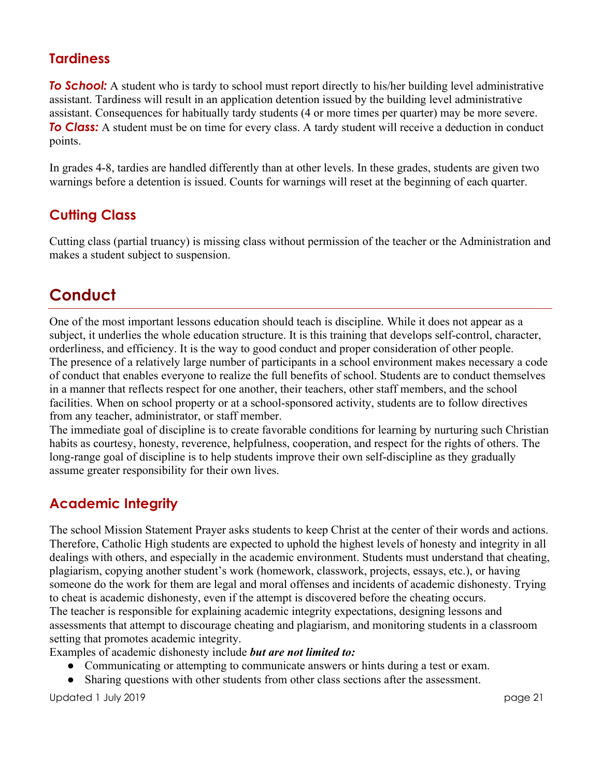#### **Tardiness**

**To School:** A student who is tardy to school must report directly to his/her building level administrative assistant. Tardiness will result in an application detention issued by the building level administrative assistant. Consequences for habitually tardy students (4 or more times per quarter) may be more severe. **To Class:** A student must be on time for every class. A tardy student will receive a deduction in conduct points.

In grades 4-8, tardies are handled differently than at other levels. In these grades, students are given two warnings before a detention is issued. Counts for warnings will reset at the beginning of each quarter.

## **Cutting Class**

Cutting class (partial truancy) is missing class without permission of the teacher or the Administration and makes a student subject to suspension.

## **Conduct**

One of the most important lessons education should teach is discipline. While it does not appear as a subject, it underlies the whole education structure. It is this training that develops self-control, character, orderliness, and efficiency. It is the way to good conduct and proper consideration of other people. The presence of a relatively large number of participants in a school environment makes necessary a code of conduct that enables everyone to realize the full benefits of school. Students are to conduct themselves in a manner that reflects respect for one another, their teachers, other staff members, and the school facilities. When on school property or at a school-sponsored activity, students are to follow directives from any teacher, administrator, or staff member.

The immediate goal of discipline is to create favorable conditions for learning by nurturing such Christian habits as courtesy, honesty, reverence, helpfulness, cooperation, and respect for the rights of others. The long-range goal of discipline is to help students improve their own self-discipline as they gradually assume greater responsibility for their own lives.

## **Academic Integrity**

The school Mission Statement Prayer asks students to keep Christ at the center of their words and actions. Therefore, Catholic High students are expected to uphold the highest levels of honesty and integrity in all dealings with others, and especially in the academic environment. Students must understand that cheating, plagiarism, copying another student's work (homework, classwork, projects, essays, etc.), or having someone do the work for them are legal and moral offenses and incidents of academic dishonesty. Trying to cheat is academic dishonesty, even if the attempt is discovered before the cheating occurs. The teacher is responsible for explaining academic integrity expectations, designing lessons and assessments that attempt to discourage cheating and plagiarism, and monitoring students in a classroom setting that promotes academic integrity.

Examples of academic dishonesty include *but are not limited to:*

- Communicating or attempting to communicate answers or hints during a test or exam.
- Sharing questions with other students from other class sections after the assessment.

Updated 1 July 2019 page 21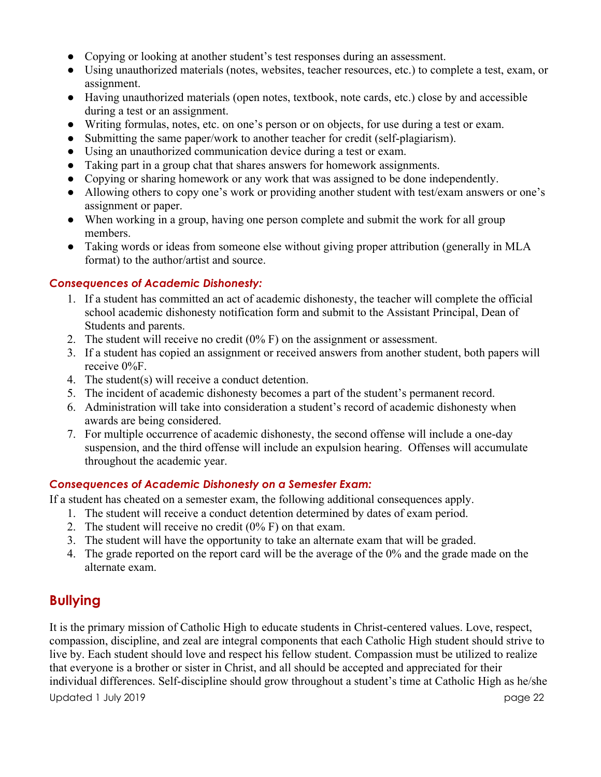- Copying or looking at another student's test responses during an assessment.
- Using unauthorized materials (notes, websites, teacher resources, etc.) to complete a test, exam, or assignment.
- Having unauthorized materials (open notes, textbook, note cards, etc.) close by and accessible during a test or an assignment.
- Writing formulas, notes, etc. on one's person or on objects, for use during a test or exam.
- Submitting the same paper/work to another teacher for credit (self-plagiarism).
- Using an unauthorized communication device during a test or exam.
- Taking part in a group chat that shares answers for homework assignments.
- Copying or sharing homework or any work that was assigned to be done independently.
- Allowing others to copy one's work or providing another student with test/exam answers or one's assignment or paper.
- When working in a group, having one person complete and submit the work for all group members.
- Taking words or ideas from someone else without giving proper attribution (generally in MLA format) to the author/artist and source.

#### *Consequences of Academic Dishonesty:*

- 1. If a student has committed an act of academic dishonesty, the teacher will complete the official school academic dishonesty notification form and submit to the Assistant Principal, Dean of Students and parents.
- 2. The student will receive no credit (0% F) on the assignment or assessment.
- 3. If a student has copied an assignment or received answers from another student, both papers will receive 0%F.
- 4. The student(s) will receive a conduct detention.
- 5. The incident of academic dishonesty becomes a part of the student's permanent record.
- 6. Administration will take into consideration a student's record of academic dishonesty when awards are being considered.
- 7. For multiple occurrence of academic dishonesty, the second offense will include a one-day suspension, and the third offense will include an expulsion hearing. Offenses will accumulate throughout the academic year.

#### *Consequences of Academic Dishonesty on a Semester Exam:*

If a student has cheated on a semester exam, the following additional consequences apply.

- 1. The student will receive a conduct detention determined by dates of exam period.
- 2. The student will receive no credit (0% F) on that exam.
- 3. The student will have the opportunity to take an alternate exam that will be graded.
- 4. The grade reported on the report card will be the average of the 0% and the grade made on the alternate exam.

### **Bullying**

It is the primary mission of Catholic High to educate students in Christ-centered values. Love, respect, compassion, discipline, and zeal are integral components that each Catholic High student should strive to live by. Each student should love and respect his fellow student. Compassion must be utilized to realize that everyone is a brother or sister in Christ, and all should be accepted and appreciated for their individual differences. Self-discipline should grow throughout a student's time at Catholic High as he/she

Updated 1 July 2019 page 22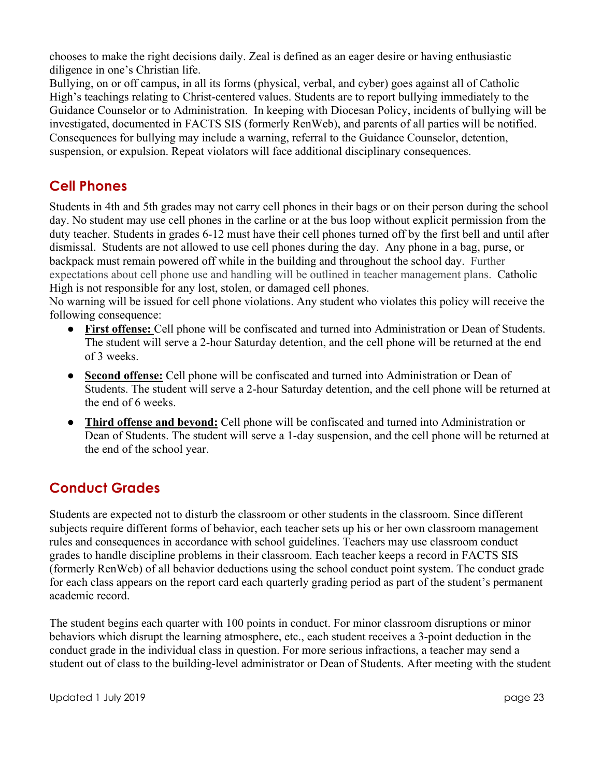chooses to make the right decisions daily. Zeal is defined as an eager desire or having enthusiastic diligence in one's Christian life.

Bullying, on or off campus, in all its forms (physical, verbal, and cyber) goes against all of Catholic High's teachings relating to Christ-centered values. Students are to report bullying immediately to the Guidance Counselor or to Administration. In keeping with Diocesan Policy, incidents of bullying will be investigated, documented in FACTS SIS (formerly RenWeb), and parents of all parties will be notified. Consequences for bullying may include a warning, referral to the Guidance Counselor, detention, suspension, or expulsion. Repeat violators will face additional disciplinary consequences.

### **Cell Phones**

Students in 4th and 5th grades may not carry cell phones in their bags or on their person during the school day. No student may use cell phones in the carline or at the bus loop without explicit permission from the duty teacher. Students in grades 6-12 must have their cell phones turned off by the first bell and until after dismissal. Students are not allowed to use cell phones during the day. Any phone in a bag, purse, or backpack must remain powered off while in the building and throughout the school day. Further expectations about cell phone use and handling will be outlined in teacher management plans. Catholic High is not responsible for any lost, stolen, or damaged cell phones.

No warning will be issued for cell phone violations. Any student who violates this policy will receive the following consequence:

- **First offense:** Cell phone will be confiscated and turned into Administration or Dean of Students. The student will serve a 2-hour Saturday detention, and the cell phone will be returned at the end of 3 weeks.
- **Second offense:** Cell phone will be confiscated and turned into Administration or Dean of Students. The student will serve a 2-hour Saturday detention, and the cell phone will be returned at the end of 6 weeks.
- **Third offense and beyond:** Cell phone will be confiscated and turned into Administration or Dean of Students. The student will serve a 1-day suspension, and the cell phone will be returned at the end of the school year.

## **Conduct Grades**

Students are expected not to disturb the classroom or other students in the classroom. Since different subjects require different forms of behavior, each teacher sets up his or her own classroom management rules and consequences in accordance with school guidelines. Teachers may use classroom conduct grades to handle discipline problems in their classroom. Each teacher keeps a record in FACTS SIS (formerly RenWeb) of all behavior deductions using the school conduct point system. The conduct grade for each class appears on the report card each quarterly grading period as part of the student's permanent academic record.

The student begins each quarter with 100 points in conduct. For minor classroom disruptions or minor behaviors which disrupt the learning atmosphere, etc., each student receives a 3-point deduction in the conduct grade in the individual class in question. For more serious infractions, a teacher may send a student out of class to the building-level administrator or Dean of Students. After meeting with the student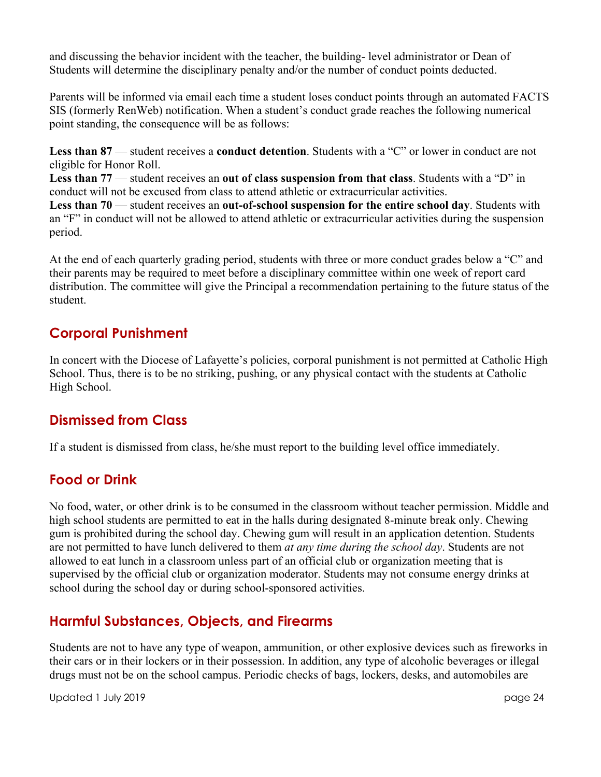and discussing the behavior incident with the teacher, the building- level administrator or Dean of Students will determine the disciplinary penalty and/or the number of conduct points deducted.

Parents will be informed via email each time a student loses conduct points through an automated FACTS SIS (formerly RenWeb) notification. When a student's conduct grade reaches the following numerical point standing, the consequence will be as follows:

**Less than 87** — student receives a **conduct detention**. Students with a "C" or lower in conduct are not eligible for Honor Roll.

**Less than 77** — student receives an **out of class suspension from that class**. Students with a "D" in conduct will not be excused from class to attend athletic or extracurricular activities.

**Less than 70** — student receives an **out-of-school suspension for the entire school day**. Students with an "F" in conduct will not be allowed to attend athletic or extracurricular activities during the suspension period.

At the end of each quarterly grading period, students with three or more conduct grades below a "C" and their parents may be required to meet before a disciplinary committee within one week of report card distribution. The committee will give the Principal a recommendation pertaining to the future status of the student.

### **Corporal Punishment**

In concert with the Diocese of Lafayette's policies, corporal punishment is not permitted at Catholic High School. Thus, there is to be no striking, pushing, or any physical contact with the students at Catholic High School.

### **Dismissed from Class**

If a student is dismissed from class, he/she must report to the building level office immediately.

### **Food or Drink**

No food, water, or other drink is to be consumed in the classroom without teacher permission. Middle and high school students are permitted to eat in the halls during designated 8-minute break only. Chewing gum is prohibited during the school day. Chewing gum will result in an application detention. Students are not permitted to have lunch delivered to them *at any time during the school day*. Students are not allowed to eat lunch in a classroom unless part of an official club or organization meeting that is supervised by the official club or organization moderator. Students may not consume energy drinks at school during the school day or during school-sponsored activities.

## **Harmful Substances, Objects, and Firearms**

Students are not to have any type of weapon, ammunition, or other explosive devices such as fireworks in their cars or in their lockers or in their possession. In addition, any type of alcoholic beverages or illegal drugs must not be on the school campus. Periodic checks of bags, lockers, desks, and automobiles are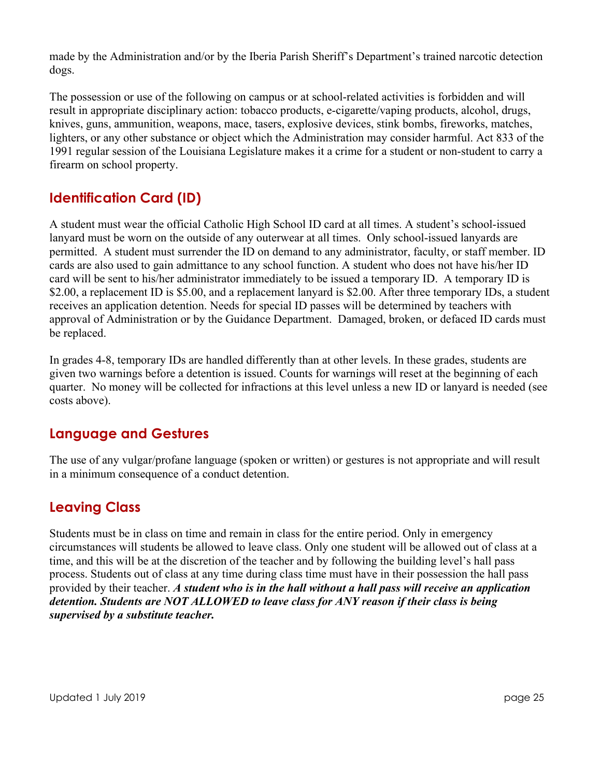made by the Administration and/or by the Iberia Parish Sheriff's Department's trained narcotic detection dogs.

The possession or use of the following on campus or at school-related activities is forbidden and will result in appropriate disciplinary action: tobacco products, e-cigarette/vaping products, alcohol, drugs, knives, guns, ammunition, weapons, mace, tasers, explosive devices, stink bombs, fireworks, matches, lighters, or any other substance or object which the Administration may consider harmful. Act 833 of the 1991 regular session of the Louisiana Legislature makes it a crime for a student or non-student to carry a firearm on school property.

## **Identification Card (ID)**

A student must wear the official Catholic High School ID card at all times. A student's school-issued lanyard must be worn on the outside of any outerwear at all times. Only school-issued lanyards are permitted. A student must surrender the ID on demand to any administrator, faculty, or staff member. ID cards are also used to gain admittance to any school function. A student who does not have his/her ID card will be sent to his/her administrator immediately to be issued a temporary ID. A temporary ID is \$2.00, a replacement ID is \$5.00, and a replacement lanyard is \$2.00. After three temporary IDs, a student receives an application detention. Needs for special ID passes will be determined by teachers with approval of Administration or by the Guidance Department. Damaged, broken, or defaced ID cards must be replaced.

In grades 4-8, temporary IDs are handled differently than at other levels. In these grades, students are given two warnings before a detention is issued. Counts for warnings will reset at the beginning of each quarter. No money will be collected for infractions at this level unless a new ID or lanyard is needed (see costs above).

### **Language and Gestures**

The use of any vulgar/profane language (spoken or written) or gestures is not appropriate and will result in a minimum consequence of a conduct detention.

### **Leaving Class**

Students must be in class on time and remain in class for the entire period. Only in emergency circumstances will students be allowed to leave class. Only one student will be allowed out of class at a time, and this will be at the discretion of the teacher and by following the building level's hall pass process. Students out of class at any time during class time must have in their possession the hall pass provided by their teacher. *A student who is in the hall without a hall pass will receive an application detention. Students are NOT ALLOWED to leave class for ANY reason if their class is being supervised by a substitute teacher.*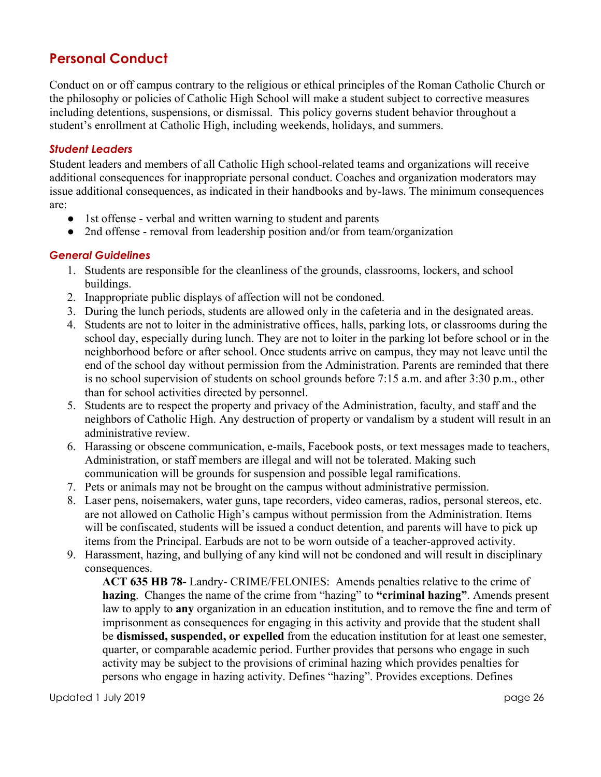### **Personal Conduct**

Conduct on or off campus contrary to the religious or ethical principles of the Roman Catholic Church or the philosophy or policies of Catholic High School will make a student subject to corrective measures including detentions, suspensions, or dismissal. This policy governs student behavior throughout a student's enrollment at Catholic High, including weekends, holidays, and summers.

#### *Student Leaders*

Student leaders and members of all Catholic High school-related teams and organizations will receive additional consequences for inappropriate personal conduct. Coaches and organization moderators may issue additional consequences, as indicated in their handbooks and by-laws. The minimum consequences are:

- 1st offense verbal and written warning to student and parents
- 2nd offense removal from leadership position and/or from team/organization

#### *General Guidelines*

- 1. Students are responsible for the cleanliness of the grounds, classrooms, lockers, and school buildings.
- 2. Inappropriate public displays of affection will not be condoned.
- 3. During the lunch periods, students are allowed only in the cafeteria and in the designated areas.
- 4. Students are not to loiter in the administrative offices, halls, parking lots, or classrooms during the school day, especially during lunch. They are not to loiter in the parking lot before school or in the neighborhood before or after school. Once students arrive on campus, they may not leave until the end of the school day without permission from the Administration. Parents are reminded that there is no school supervision of students on school grounds before 7:15 a.m. and after 3:30 p.m., other than for school activities directed by personnel.
- 5. Students are to respect the property and privacy of the Administration, faculty, and staff and the neighbors of Catholic High. Any destruction of property or vandalism by a student will result in an administrative review.
- 6. Harassing or obscene communication, e-mails, Facebook posts, or text messages made to teachers, Administration, or staff members are illegal and will not be tolerated. Making such communication will be grounds for suspension and possible legal ramifications.
- 7. Pets or animals may not be brought on the campus without administrative permission.
- 8. Laser pens, noisemakers, water guns, tape recorders, video cameras, radios, personal stereos, etc. are not allowed on Catholic High's campus without permission from the Administration. Items will be confiscated, students will be issued a conduct detention, and parents will have to pick up items from the Principal. Earbuds are not to be worn outside of a teacher-approved activity.
- 9. Harassment, hazing, and bullying of any kind will not be condoned and will result in disciplinary consequences.

**ACT 635 HB 78-** Landry- CRIME/FELONIES: Amends penalties relative to the crime of **hazing**. Changes the name of the crime from "hazing" to **"criminal hazing"**. Amends present law to apply to **any** organization in an education institution, and to remove the fine and term of imprisonment as consequences for engaging in this activity and provide that the student shall be **dismissed, suspended, or expelled** from the education institution for at least one semester, quarter, or comparable academic period. Further provides that persons who engage in such activity may be subject to the provisions of criminal hazing which provides penalties for persons who engage in hazing activity. Defines "hazing". Provides exceptions. Defines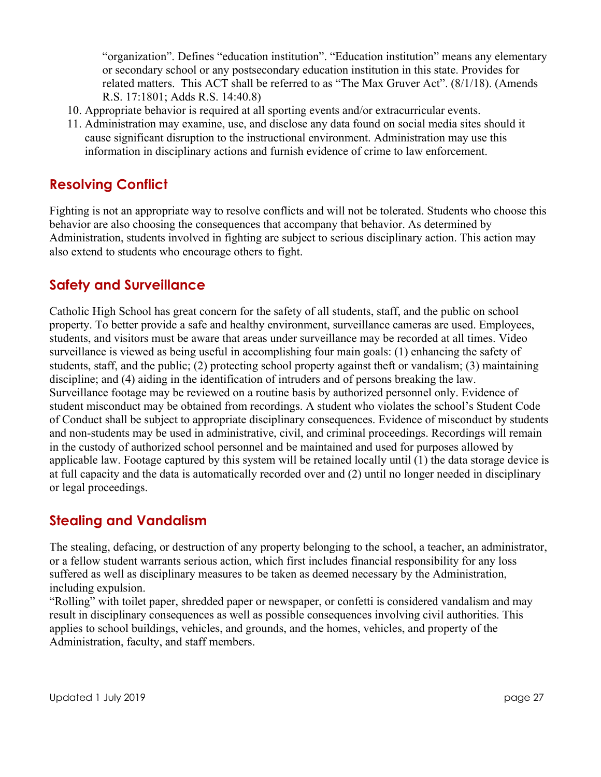"organization". Defines "education institution". "Education institution" means any elementary or secondary school or any postsecondary education institution in this state. Provides for related matters. This ACT shall be referred to as "The Max Gruver Act". (8/1/18). (Amends R.S. 17:1801; Adds R.S. 14:40.8)

- 10. Appropriate behavior is required at all sporting events and/or extracurricular events.
- 11. Administration may examine, use, and disclose any data found on social media sites should it cause significant disruption to the instructional environment. Administration may use this information in disciplinary actions and furnish evidence of crime to law enforcement.

#### **Resolving Conflict**

Fighting is not an appropriate way to resolve conflicts and will not be tolerated. Students who choose this behavior are also choosing the consequences that accompany that behavior. As determined by Administration, students involved in fighting are subject to serious disciplinary action. This action may also extend to students who encourage others to fight.

#### **Safety and Surveillance**

Catholic High School has great concern for the safety of all students, staff, and the public on school property. To better provide a safe and healthy environment, surveillance cameras are used. Employees, students, and visitors must be aware that areas under surveillance may be recorded at all times. Video surveillance is viewed as being useful in accomplishing four main goals: (1) enhancing the safety of students, staff, and the public; (2) protecting school property against theft or vandalism; (3) maintaining discipline; and (4) aiding in the identification of intruders and of persons breaking the law. Surveillance footage may be reviewed on a routine basis by authorized personnel only. Evidence of student misconduct may be obtained from recordings. A student who violates the school's Student Code of Conduct shall be subject to appropriate disciplinary consequences. Evidence of misconduct by students and non-students may be used in administrative, civil, and criminal proceedings. Recordings will remain in the custody of authorized school personnel and be maintained and used for purposes allowed by applicable law. Footage captured by this system will be retained locally until (1) the data storage device is at full capacity and the data is automatically recorded over and (2) until no longer needed in disciplinary or legal proceedings.

#### **Stealing and Vandalism**

The stealing, defacing, or destruction of any property belonging to the school, a teacher, an administrator, or a fellow student warrants serious action, which first includes financial responsibility for any loss suffered as well as disciplinary measures to be taken as deemed necessary by the Administration, including expulsion.

"Rolling" with toilet paper, shredded paper or newspaper, or confetti is considered vandalism and may result in disciplinary consequences as well as possible consequences involving civil authorities. This applies to school buildings, vehicles, and grounds, and the homes, vehicles, and property of the Administration, faculty, and staff members.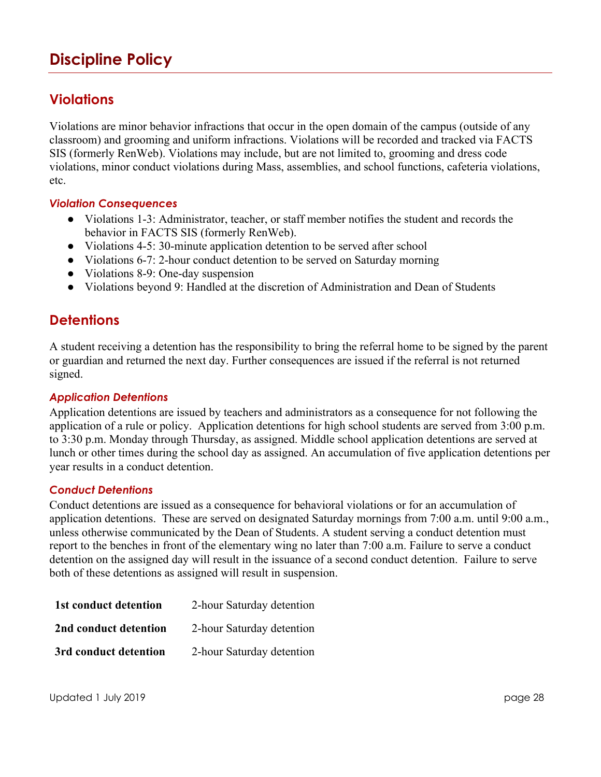## **Discipline Policy**

#### **Violations**

Violations are minor behavior infractions that occur in the open domain of the campus (outside of any classroom) and grooming and uniform infractions. Violations will be recorded and tracked via FACTS SIS (formerly RenWeb). Violations may include, but are not limited to, grooming and dress code violations, minor conduct violations during Mass, assemblies, and school functions, cafeteria violations, etc.

#### *Violation Consequences*

- Violations 1-3: Administrator, teacher, or staff member notifies the student and records the behavior in FACTS SIS (formerly RenWeb).
- Violations 4-5: 30-minute application detention to be served after school
- Violations 6-7: 2-hour conduct detention to be served on Saturday morning
- Violations 8-9: One-day suspension
- Violations beyond 9: Handled at the discretion of Administration and Dean of Students

#### **Detentions**

A student receiving a detention has the responsibility to bring the referral home to be signed by the parent or guardian and returned the next day. Further consequences are issued if the referral is not returned signed.

#### *Application Detentions*

Application detentions are issued by teachers and administrators as a consequence for not following the application of a rule or policy. Application detentions for high school students are served from 3:00 p.m. to 3:30 p.m. Monday through Thursday, as assigned. Middle school application detentions are served at lunch or other times during the school day as assigned. An accumulation of five application detentions per year results in a conduct detention.

#### *Conduct Detentions*

Conduct detentions are issued as a consequence for behavioral violations or for an accumulation of application detentions. These are served on designated Saturday mornings from 7:00 a.m. until 9:00 a.m., unless otherwise communicated by the Dean of Students. A student serving a conduct detention must report to the benches in front of the elementary wing no later than 7:00 a.m. Failure to serve a conduct detention on the assigned day will result in the issuance of a second conduct detention. Failure to serve both of these detentions as assigned will result in suspension.

| 1st conduct detention | 2-hour Saturday detention |
|-----------------------|---------------------------|
| 2nd conduct detention | 2-hour Saturday detention |
| 3rd conduct detention | 2-hour Saturday detention |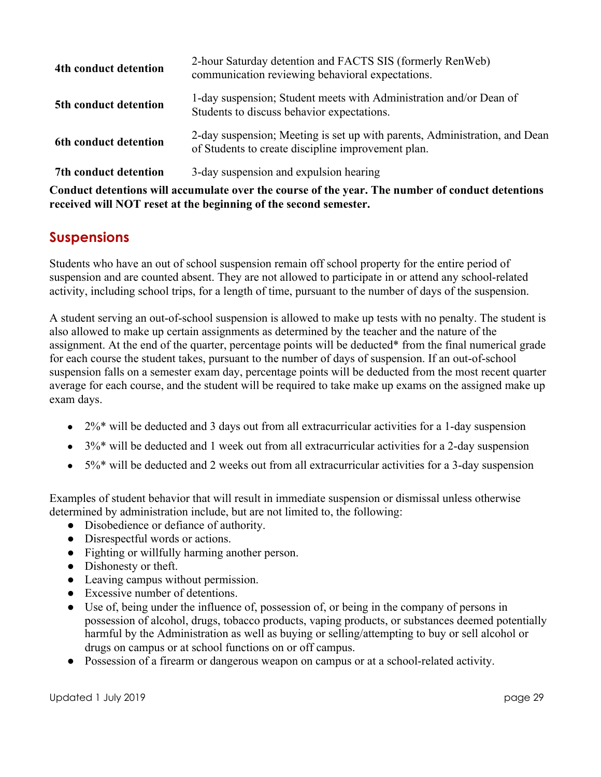| 4th conduct detention                                                                            | 2-hour Saturday detention and FACTS SIS (formerly RenWeb)<br>communication reviewing behavioral expectations.                    |  |  |
|--------------------------------------------------------------------------------------------------|----------------------------------------------------------------------------------------------------------------------------------|--|--|
| 5th conduct detention                                                                            | 1-day suspension; Student meets with Administration and/or Dean of<br>Students to discuss behavior expectations.                 |  |  |
| 6th conduct detention                                                                            | 2-day suspension; Meeting is set up with parents, Administration, and Dean<br>of Students to create discipline improvement plan. |  |  |
| 3-day suspension and expulsion hearing<br>7th conduct detention                                  |                                                                                                                                  |  |  |
| Conduct detentions will accumulate over the course of the year. The number of conduct detentions |                                                                                                                                  |  |  |

**received will NOT reset at the beginning of the second semester.**

### **Suspensions**

Students who have an out of school suspension remain off school property for the entire period of suspension and are counted absent. They are not allowed to participate in or attend any school-related activity, including school trips, for a length of time, pursuant to the number of days of the suspension.

A student serving an out-of-school suspension is allowed to make up tests with no penalty. The student is also allowed to make up certain assignments as determined by the teacher and the nature of the assignment. At the end of the quarter, percentage points will be deducted\* from the final numerical grade for each course the student takes, pursuant to the number of days of suspension. If an out-of-school suspension falls on a semester exam day, percentage points will be deducted from the most recent quarter average for each course, and the student will be required to take make up exams on the assigned make up exam days.

- $\bullet$  2%\* will be deducted and 3 days out from all extracurricular activities for a 1-day suspension
- 3%\* will be deducted and 1 week out from all extracurricular activities for a 2-day suspension
- $5\%$ <sup>\*</sup> will be deducted and 2 weeks out from all extracurricular activities for a 3-day suspension

Examples of student behavior that will result in immediate suspension or dismissal unless otherwise determined by administration include, but are not limited to, the following:

- Disobedience or defiance of authority.
- Disrespectful words or actions.
- Fighting or willfully harming another person.
- Dishonesty or theft.
- Leaving campus without permission.
- Excessive number of detentions.
- Use of, being under the influence of, possession of, or being in the company of persons in possession of alcohol, drugs, tobacco products, vaping products, or substances deemed potentially harmful by the Administration as well as buying or selling/attempting to buy or sell alcohol or drugs on campus or at school functions on or off campus.
- Possession of a firearm or dangerous weapon on campus or at a school-related activity.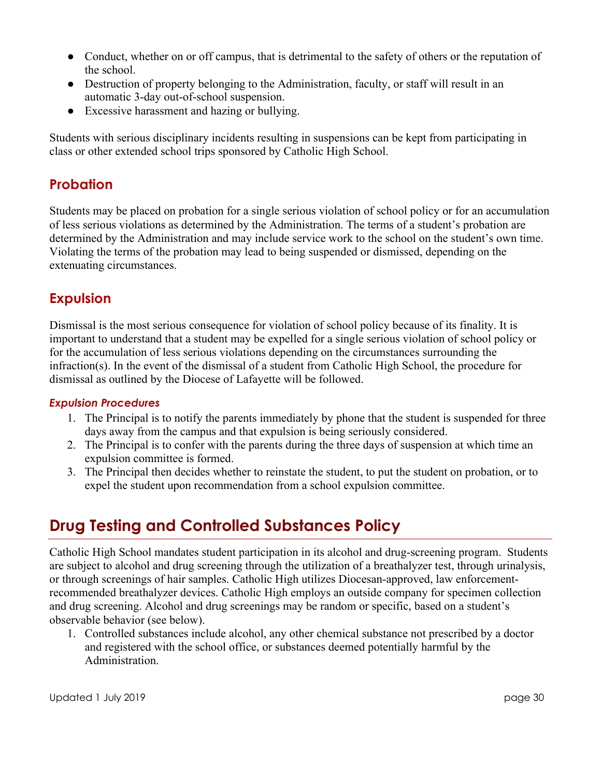- Conduct, whether on or off campus, that is detrimental to the safety of others or the reputation of the school.
- Destruction of property belonging to the Administration, faculty, or staff will result in an automatic 3-day out-of-school suspension.
- Excessive harassment and hazing or bullying.

Students with serious disciplinary incidents resulting in suspensions can be kept from participating in class or other extended school trips sponsored by Catholic High School.

### **Probation**

Students may be placed on probation for a single serious violation of school policy or for an accumulation of less serious violations as determined by the Administration. The terms of a student's probation are determined by the Administration and may include service work to the school on the student's own time. Violating the terms of the probation may lead to being suspended or dismissed, depending on the extenuating circumstances.

### **Expulsion**

Dismissal is the most serious consequence for violation of school policy because of its finality. It is important to understand that a student may be expelled for a single serious violation of school policy or for the accumulation of less serious violations depending on the circumstances surrounding the infraction(s). In the event of the dismissal of a student from Catholic High School, the procedure for dismissal as outlined by the Diocese of Lafayette will be followed.

#### *Expulsion Procedures*

- 1. The Principal is to notify the parents immediately by phone that the student is suspended for three days away from the campus and that expulsion is being seriously considered.
- 2. The Principal is to confer with the parents during the three days of suspension at which time an expulsion committee is formed.
- 3. The Principal then decides whether to reinstate the student, to put the student on probation, or to expel the student upon recommendation from a school expulsion committee.

## **Drug Testing and Controlled Substances Policy**

Catholic High School mandates student participation in its alcohol and drug-screening program. Students are subject to alcohol and drug screening through the utilization of a breathalyzer test, through urinalysis, or through screenings of hair samples. Catholic High utilizes Diocesan-approved, law enforcementrecommended breathalyzer devices. Catholic High employs an outside company for specimen collection and drug screening. Alcohol and drug screenings may be random or specific, based on a student's observable behavior (see below).

1. Controlled substances include alcohol, any other chemical substance not prescribed by a doctor and registered with the school office, or substances deemed potentially harmful by the Administration.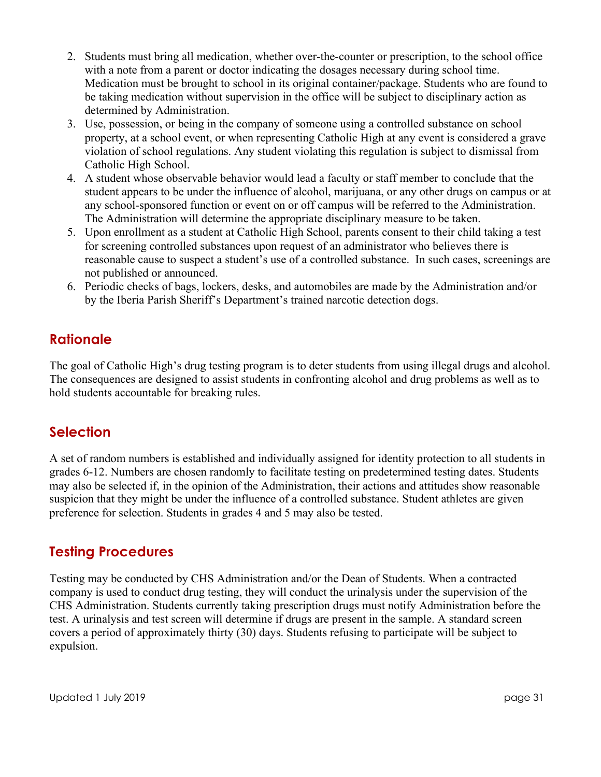- 2. Students must bring all medication, whether over-the-counter or prescription, to the school office with a note from a parent or doctor indicating the dosages necessary during school time. Medication must be brought to school in its original container/package. Students who are found to be taking medication without supervision in the office will be subject to disciplinary action as determined by Administration.
- 3. Use, possession, or being in the company of someone using a controlled substance on school property, at a school event, or when representing Catholic High at any event is considered a grave violation of school regulations. Any student violating this regulation is subject to dismissal from Catholic High School.
- 4. A student whose observable behavior would lead a faculty or staff member to conclude that the student appears to be under the influence of alcohol, marijuana, or any other drugs on campus or at any school-sponsored function or event on or off campus will be referred to the Administration. The Administration will determine the appropriate disciplinary measure to be taken.
- 5. Upon enrollment as a student at Catholic High School, parents consent to their child taking a test for screening controlled substances upon request of an administrator who believes there is reasonable cause to suspect a student's use of a controlled substance. In such cases, screenings are not published or announced.
- 6. Periodic checks of bags, lockers, desks, and automobiles are made by the Administration and/or by the Iberia Parish Sheriff's Department's trained narcotic detection dogs.

### **Rationale**

The goal of Catholic High's drug testing program is to deter students from using illegal drugs and alcohol. The consequences are designed to assist students in confronting alcohol and drug problems as well as to hold students accountable for breaking rules.

#### **Selection**

A set of random numbers is established and individually assigned for identity protection to all students in grades 6-12. Numbers are chosen randomly to facilitate testing on predetermined testing dates. Students may also be selected if, in the opinion of the Administration, their actions and attitudes show reasonable suspicion that they might be under the influence of a controlled substance. Student athletes are given preference for selection. Students in grades 4 and 5 may also be tested.

#### **Testing Procedures**

Testing may be conducted by CHS Administration and/or the Dean of Students. When a contracted company is used to conduct drug testing, they will conduct the urinalysis under the supervision of the CHS Administration. Students currently taking prescription drugs must notify Administration before the test. A urinalysis and test screen will determine if drugs are present in the sample. A standard screen covers a period of approximately thirty (30) days. Students refusing to participate will be subject to expulsion.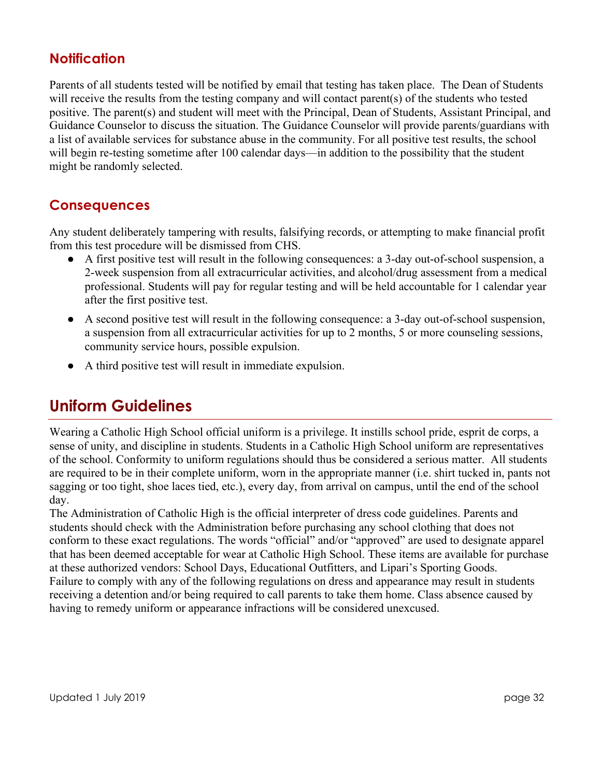#### **Notification**

Parents of all students tested will be notified by email that testing has taken place. The Dean of Students will receive the results from the testing company and will contact parent(s) of the students who tested positive. The parent(s) and student will meet with the Principal, Dean of Students, Assistant Principal, and Guidance Counselor to discuss the situation. The Guidance Counselor will provide parents/guardians with a list of available services for substance abuse in the community. For all positive test results, the school will begin re-testing sometime after 100 calendar days—in addition to the possibility that the student might be randomly selected.

### **Consequences**

Any student deliberately tampering with results, falsifying records, or attempting to make financial profit from this test procedure will be dismissed from CHS.

- A first positive test will result in the following consequences: a 3-day out-of-school suspension, a 2-week suspension from all extracurricular activities, and alcohol/drug assessment from a medical professional. Students will pay for regular testing and will be held accountable for 1 calendar year after the first positive test.
- A second positive test will result in the following consequence: a 3-day out-of-school suspension, a suspension from all extracurricular activities for up to 2 months, 5 or more counseling sessions, community service hours, possible expulsion.
- A third positive test will result in immediate expulsion.

## **Uniform Guidelines**

Wearing a Catholic High School official uniform is a privilege. It instills school pride, esprit de corps, a sense of unity, and discipline in students. Students in a Catholic High School uniform are representatives of the school. Conformity to uniform regulations should thus be considered a serious matter. All students are required to be in their complete uniform, worn in the appropriate manner (i.e. shirt tucked in, pants not sagging or too tight, shoe laces tied, etc.), every day, from arrival on campus, until the end of the school day.

The Administration of Catholic High is the official interpreter of dress code guidelines. Parents and students should check with the Administration before purchasing any school clothing that does not conform to these exact regulations. The words "official" and/or "approved" are used to designate apparel that has been deemed acceptable for wear at Catholic High School. These items are available for purchase at these authorized vendors: School Days, Educational Outfitters, and Lipari's Sporting Goods. Failure to comply with any of the following regulations on dress and appearance may result in students receiving a detention and/or being required to call parents to take them home. Class absence caused by having to remedy uniform or appearance infractions will be considered unexcused.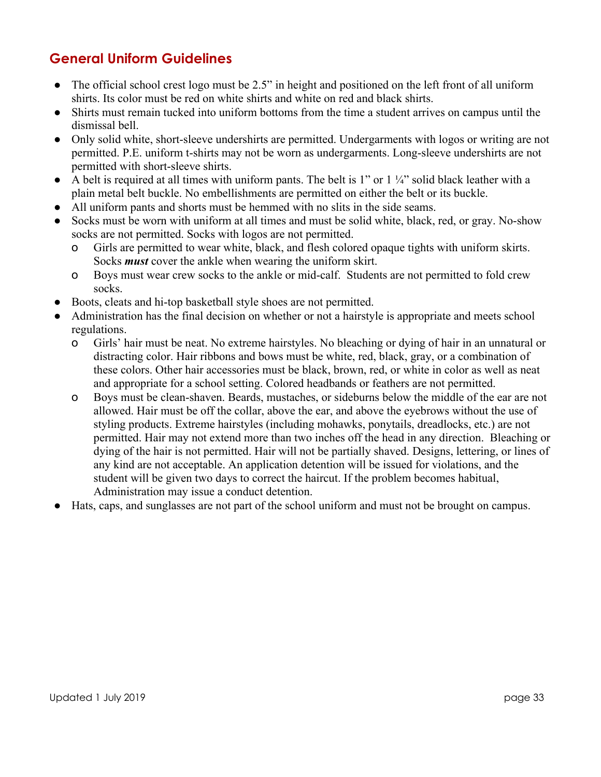## **General Uniform Guidelines**

- The official school crest logo must be 2.5" in height and positioned on the left front of all uniform shirts. Its color must be red on white shirts and white on red and black shirts.
- Shirts must remain tucked into uniform bottoms from the time a student arrives on campus until the dismissal bell.
- Only solid white, short-sleeve undershirts are permitted. Undergarments with logos or writing are not permitted. P.E. uniform t-shirts may not be worn as undergarments. Long-sleeve undershirts are not permitted with short-sleeve shirts.
- $\bullet$  A belt is required at all times with uniform pants. The belt is 1" or 1  $\frac{1}{4}$ " solid black leather with a plain metal belt buckle. No embellishments are permitted on either the belt or its buckle.
- All uniform pants and shorts must be hemmed with no slits in the side seams.
- Socks must be worn with uniform at all times and must be solid white, black, red, or gray. No-show socks are not permitted. Socks with logos are not permitted.
	- o Girls are permitted to wear white, black, and flesh colored opaque tights with uniform skirts. Socks *must* cover the ankle when wearing the uniform skirt.
	- o Boys must wear crew socks to the ankle or mid-calf. Students are not permitted to fold crew socks.
- Boots, cleats and hi-top basketball style shoes are not permitted.
- Administration has the final decision on whether or not a hairstyle is appropriate and meets school regulations.
	- o Girls' hair must be neat. No extreme hairstyles. No bleaching or dying of hair in an unnatural or distracting color. Hair ribbons and bows must be white, red, black, gray, or a combination of these colors. Other hair accessories must be black, brown, red, or white in color as well as neat and appropriate for a school setting. Colored headbands or feathers are not permitted.
	- o Boys must be clean-shaven. Beards, mustaches, or sideburns below the middle of the ear are not allowed. Hair must be off the collar, above the ear, and above the eyebrows without the use of styling products. Extreme hairstyles (including mohawks, ponytails, dreadlocks, etc.) are not permitted. Hair may not extend more than two inches off the head in any direction. Bleaching or dying of the hair is not permitted. Hair will not be partially shaved. Designs, lettering, or lines of any kind are not acceptable. An application detention will be issued for violations, and the student will be given two days to correct the haircut. If the problem becomes habitual, Administration may issue a conduct detention.
- Hats, caps, and sunglasses are not part of the school uniform and must not be brought on campus.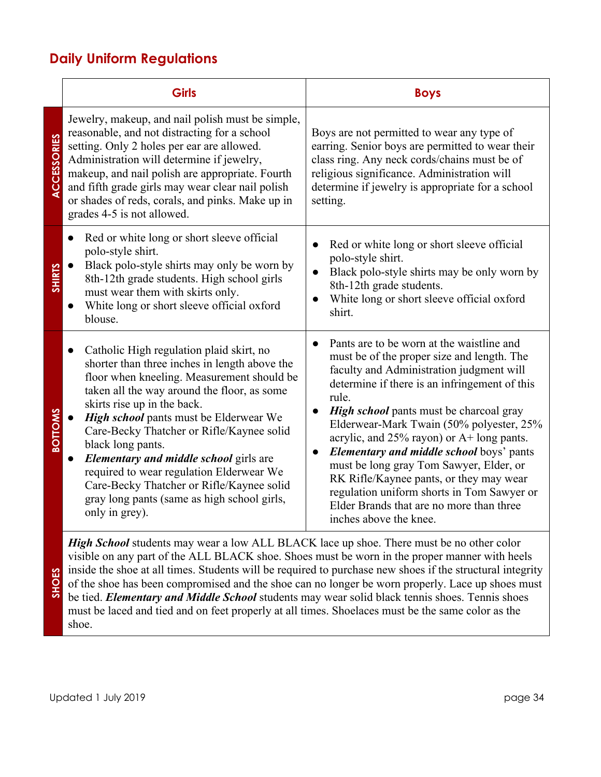### **Daily Uniform Regulations**

|                    | <b>Girls</b>                                                                                                                                                                                                                                                                                                                                                                                                                                                                                                                                       | <b>Boys</b>                                                                                                                                                                                                                                                                                                                                                                                                                                                                                                                                                                                                           |  |
|--------------------|----------------------------------------------------------------------------------------------------------------------------------------------------------------------------------------------------------------------------------------------------------------------------------------------------------------------------------------------------------------------------------------------------------------------------------------------------------------------------------------------------------------------------------------------------|-----------------------------------------------------------------------------------------------------------------------------------------------------------------------------------------------------------------------------------------------------------------------------------------------------------------------------------------------------------------------------------------------------------------------------------------------------------------------------------------------------------------------------------------------------------------------------------------------------------------------|--|
| <b>ACCESSORIES</b> | Jewelry, makeup, and nail polish must be simple,<br>reasonable, and not distracting for a school<br>setting. Only 2 holes per ear are allowed.<br>Administration will determine if jewelry,<br>makeup, and nail polish are appropriate. Fourth<br>and fifth grade girls may wear clear nail polish<br>or shades of reds, corals, and pinks. Make up in<br>grades 4-5 is not allowed.                                                                                                                                                               | Boys are not permitted to wear any type of<br>earring. Senior boys are permitted to wear their<br>class ring. Any neck cords/chains must be of<br>religious significance. Administration will<br>determine if jewelry is appropriate for a school<br>setting.                                                                                                                                                                                                                                                                                                                                                         |  |
| <b>SHIRTS</b>      | Red or white long or short sleeve official<br>polo-style shirt.<br>Black polo-style shirts may only be worn by<br>8th-12th grade students. High school girls<br>must wear them with skirts only.<br>White long or short sleeve official oxford<br>blouse.                                                                                                                                                                                                                                                                                          | Red or white long or short sleeve official<br>polo-style shirt.<br>Black polo-style shirts may be only worn by<br>8th-12th grade students.<br>White long or short sleeve official oxford<br>shirt.                                                                                                                                                                                                                                                                                                                                                                                                                    |  |
| <b>BOTTOMS</b>     | Catholic High regulation plaid skirt, no<br>$\bullet$<br>shorter than three inches in length above the<br>floor when kneeling. Measurement should be<br>taken all the way around the floor, as some<br>skirts rise up in the back.<br>High school pants must be Elderwear We<br>Care-Becky Thatcher or Rifle/Kaynee solid<br>black long pants.<br>Elementary and middle school girls are<br>required to wear regulation Elderwear We<br>Care-Becky Thatcher or Rifle/Kaynee solid<br>gray long pants (same as high school girls,<br>only in grey). | Pants are to be worn at the waistline and<br>$\bullet$<br>must be of the proper size and length. The<br>faculty and Administration judgment will<br>determine if there is an infringement of this<br>rule.<br><b>High school</b> pants must be charcoal gray<br>Elderwear-Mark Twain (50% polyester, 25%<br>acrylic, and $25\%$ rayon) or A+ long pants.<br><b>Elementary and middle school boys' pants</b><br>must be long gray Tom Sawyer, Elder, or<br>RK Rifle/Kaynee pants, or they may wear<br>regulation uniform shorts in Tom Sawyer or<br>Elder Brands that are no more than three<br>inches above the knee. |  |
|                    | <b>High School</b> students may wear a low $\Delta H$ RI $\Delta C$ K lace up shoe. There must be no other color                                                                                                                                                                                                                                                                                                                                                                                                                                   |                                                                                                                                                                                                                                                                                                                                                                                                                                                                                                                                                                                                                       |  |

*High School* students may wear a low ALL BLACK lace up shoe. There must be no other color visible on any part of the ALL BLACK shoe. Shoes must be worn in the proper manner with heels inside the shoe at all times. Students will be required to purchase new shoes if the structural integrity of the shoe has been compromised and the shoe can no longer be worn properly. Lace up shoes must be tied. *Elementary and Middle School* students may wear solid black tennis shoes. Tennis shoes must be laced and tied and on feet properly at all times. Shoelaces must be the same color as the shoe.

**SHOES**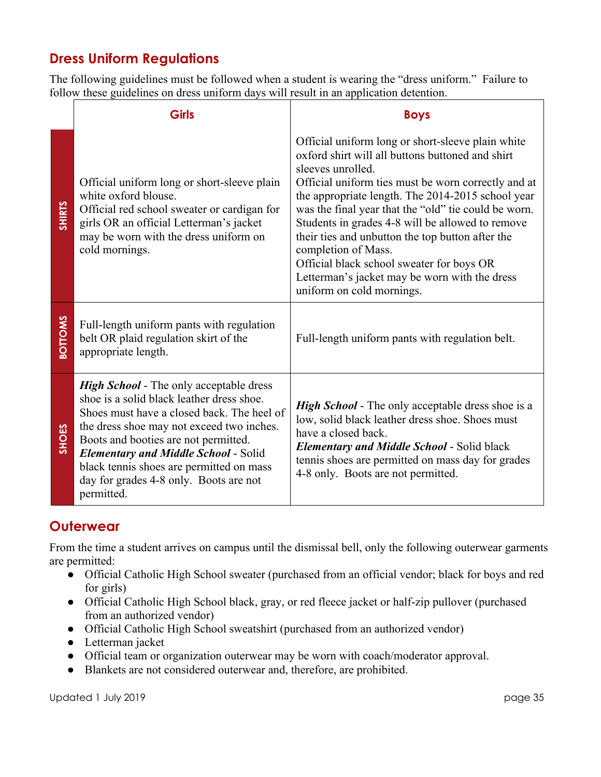## **Dress Uniform Regulations**

The following guidelines must be followed when a student is wearing the "dress uniform." Failure to follow these guidelines on dress uniform days will result in an application detention.

|                | <b>Girls</b>                                                                                                                                                                                                                                                                                                                                                                      | <b>Boys</b>                                                                                                                                                                                                                                                                                                                                                                                                                                                                                                                                              |
|----------------|-----------------------------------------------------------------------------------------------------------------------------------------------------------------------------------------------------------------------------------------------------------------------------------------------------------------------------------------------------------------------------------|----------------------------------------------------------------------------------------------------------------------------------------------------------------------------------------------------------------------------------------------------------------------------------------------------------------------------------------------------------------------------------------------------------------------------------------------------------------------------------------------------------------------------------------------------------|
| <b>SHIRTS</b>  | Official uniform long or short-sleeve plain<br>white oxford blouse.<br>Official red school sweater or cardigan for<br>girls OR an official Letterman's jacket<br>may be worn with the dress uniform on<br>cold mornings.                                                                                                                                                          | Official uniform long or short-sleeve plain white<br>oxford shirt will all buttons buttoned and shirt<br>sleeves unrolled.<br>Official uniform ties must be worn correctly and at<br>the appropriate length. The 2014-2015 school year<br>was the final year that the "old" tie could be worn.<br>Students in grades 4-8 will be allowed to remove<br>their ties and unbutton the top button after the<br>completion of Mass.<br>Official black school sweater for boys OR<br>Letterman's jacket may be worn with the dress<br>uniform on cold mornings. |
| <b>BOTTOMS</b> | Full-length uniform pants with regulation<br>belt OR plaid regulation skirt of the<br>appropriate length.                                                                                                                                                                                                                                                                         | Full-length uniform pants with regulation belt.                                                                                                                                                                                                                                                                                                                                                                                                                                                                                                          |
| SHOES          | <b>High School</b> - The only acceptable dress<br>shoe is a solid black leather dress shoe.<br>Shoes must have a closed back. The heel of<br>the dress shoe may not exceed two inches.<br>Boots and booties are not permitted.<br><b>Elementary and Middle School - Solid</b><br>black tennis shoes are permitted on mass<br>day for grades 4-8 only. Boots are not<br>permitted. | <b>High School</b> - The only acceptable dress shoe is a<br>low, solid black leather dress shoe. Shoes must<br>have a closed back.<br><b>Elementary and Middle School - Solid black</b><br>tennis shoes are permitted on mass day for grades<br>4-8 only. Boots are not permitted.                                                                                                                                                                                                                                                                       |

#### **Outerwear**

From the time a student arrives on campus until the dismissal bell, only the following outerwear garments are permitted:

- Official Catholic High School sweater (purchased from an official vendor; black for boys and red for girls)
- Official Catholic High School black, gray, or red fleece jacket or half-zip pullover (purchased from an authorized vendor)
- Official Catholic High School sweatshirt (purchased from an authorized vendor)
- Letterman jacket
- Official team or organization outerwear may be worn with coach/moderator approval.
- Blankets are not considered outerwear and, therefore, are prohibited.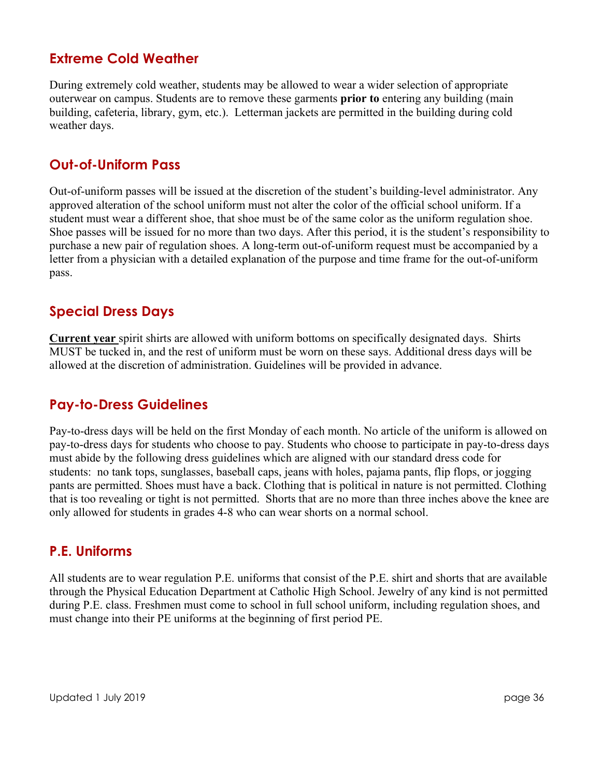#### **Extreme Cold Weather**

During extremely cold weather, students may be allowed to wear a wider selection of appropriate outerwear on campus. Students are to remove these garments **prior to** entering any building (main building, cafeteria, library, gym, etc.). Letterman jackets are permitted in the building during cold weather days.

#### **Out-of-Uniform Pass**

Out-of-uniform passes will be issued at the discretion of the student's building-level administrator. Any approved alteration of the school uniform must not alter the color of the official school uniform. If a student must wear a different shoe, that shoe must be of the same color as the uniform regulation shoe. Shoe passes will be issued for no more than two days. After this period, it is the student's responsibility to purchase a new pair of regulation shoes. A long-term out-of-uniform request must be accompanied by a letter from a physician with a detailed explanation of the purpose and time frame for the out-of-uniform pass.

#### **Special Dress Days**

**Current year** spirit shirts are allowed with uniform bottoms on specifically designated days. Shirts MUST be tucked in, and the rest of uniform must be worn on these says. Additional dress days will be allowed at the discretion of administration. Guidelines will be provided in advance.

#### **Pay-to-Dress Guidelines**

Pay-to-dress days will be held on the first Monday of each month. No article of the uniform is allowed on pay-to-dress days for students who choose to pay. Students who choose to participate in pay-to-dress days must abide by the following dress guidelines which are aligned with our standard dress code for students: no tank tops, sunglasses, baseball caps, jeans with holes, pajama pants, flip flops, or jogging pants are permitted. Shoes must have a back. Clothing that is political in nature is not permitted. Clothing that is too revealing or tight is not permitted. Shorts that are no more than three inches above the knee are only allowed for students in grades 4-8 who can wear shorts on a normal school.

#### **P.E. Uniforms**

All students are to wear regulation P.E. uniforms that consist of the P.E. shirt and shorts that are available through the Physical Education Department at Catholic High School. Jewelry of any kind is not permitted during P.E. class. Freshmen must come to school in full school uniform, including regulation shoes, and must change into their PE uniforms at the beginning of first period PE.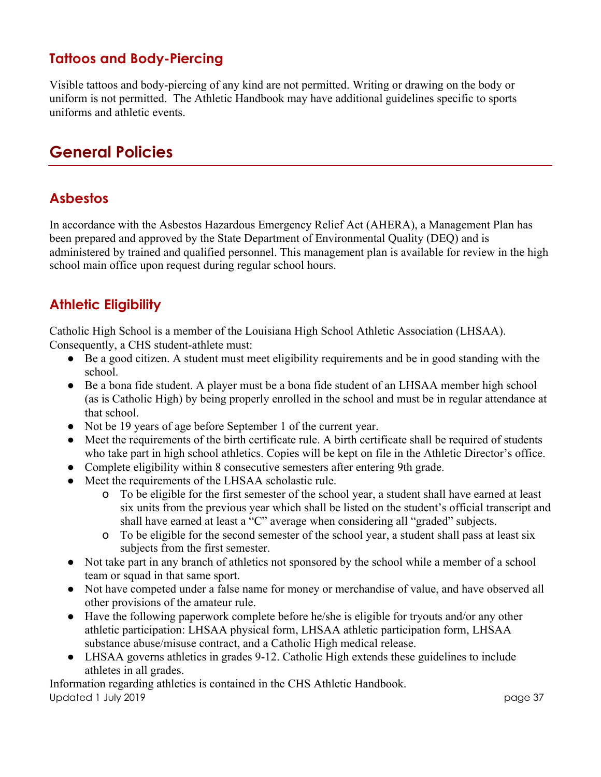## **Tattoos and Body-Piercing**

Visible tattoos and body-piercing of any kind are not permitted. Writing or drawing on the body or uniform is not permitted. The Athletic Handbook may have additional guidelines specific to sports uniforms and athletic events.

## **General Policies**

## **Asbestos**

In accordance with the Asbestos Hazardous Emergency Relief Act (AHERA), a Management Plan has been prepared and approved by the State Department of Environmental Quality (DEQ) and is administered by trained and qualified personnel. This management plan is available for review in the high school main office upon request during regular school hours.

## **Athletic Eligibility**

Catholic High School is a member of the Louisiana High School Athletic Association (LHSAA).

Consequently, a CHS student-athlete must:

- Be a good citizen. A student must meet eligibility requirements and be in good standing with the school.
- Be a bona fide student. A player must be a bona fide student of an LHSAA member high school (as is Catholic High) by being properly enrolled in the school and must be in regular attendance at that school.
- Not be 19 years of age before September 1 of the current year.
- Meet the requirements of the birth certificate rule. A birth certificate shall be required of students who take part in high school athletics. Copies will be kept on file in the Athletic Director's office.
- Complete eligibility within 8 consecutive semesters after entering 9th grade.
- Meet the requirements of the LHSAA scholastic rule.
	- o To be eligible for the first semester of the school year, a student shall have earned at least six units from the previous year which shall be listed on the student's official transcript and shall have earned at least a "C" average when considering all "graded" subjects.
	- o To be eligible for the second semester of the school year, a student shall pass at least six subjects from the first semester.
- Not take part in any branch of athletics not sponsored by the school while a member of a school team or squad in that same sport.
- Not have competed under a false name for money or merchandise of value, and have observed all other provisions of the amateur rule.
- Have the following paperwork complete before he/she is eligible for tryouts and/or any other athletic participation: LHSAA physical form, LHSAA athletic participation form, LHSAA substance abuse/misuse contract, and a Catholic High medical release.
- LHSAA governs athletics in grades 9-12. Catholic High extends these guidelines to include athletes in all grades.

Updated 1 July 2019 page 37 Information regarding athletics is contained in the CHS Athletic Handbook.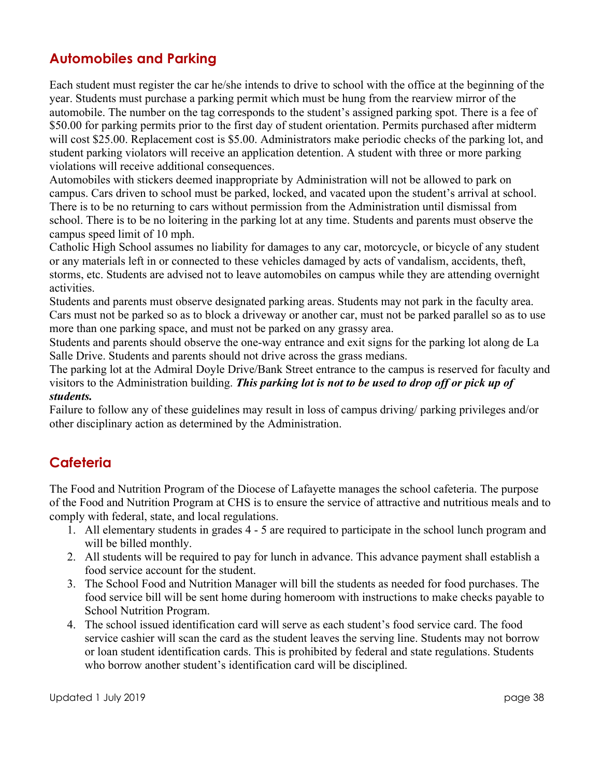#### **Automobiles and Parking**

Each student must register the car he/she intends to drive to school with the office at the beginning of the year. Students must purchase a parking permit which must be hung from the rearview mirror of the automobile. The number on the tag corresponds to the student's assigned parking spot. There is a fee of \$50.00 for parking permits prior to the first day of student orientation. Permits purchased after midterm will cost \$25.00. Replacement cost is \$5.00. Administrators make periodic checks of the parking lot, and student parking violators will receive an application detention. A student with three or more parking violations will receive additional consequences.

Automobiles with stickers deemed inappropriate by Administration will not be allowed to park on campus. Cars driven to school must be parked, locked, and vacated upon the student's arrival at school. There is to be no returning to cars without permission from the Administration until dismissal from school. There is to be no loitering in the parking lot at any time. Students and parents must observe the campus speed limit of 10 mph.

Catholic High School assumes no liability for damages to any car, motorcycle, or bicycle of any student or any materials left in or connected to these vehicles damaged by acts of vandalism, accidents, theft, storms, etc. Students are advised not to leave automobiles on campus while they are attending overnight activities.

Students and parents must observe designated parking areas. Students may not park in the faculty area. Cars must not be parked so as to block a driveway or another car, must not be parked parallel so as to use more than one parking space, and must not be parked on any grassy area.

Students and parents should observe the one-way entrance and exit signs for the parking lot along de La Salle Drive. Students and parents should not drive across the grass medians.

The parking lot at the Admiral Doyle Drive/Bank Street entrance to the campus is reserved for faculty and visitors to the Administration building. *This parking lot is not to be used to drop off or pick up of students.*

Failure to follow any of these guidelines may result in loss of campus driving/ parking privileges and/or other disciplinary action as determined by the Administration.

## **Cafeteria**

The Food and Nutrition Program of the Diocese of Lafayette manages the school cafeteria. The purpose of the Food and Nutrition Program at CHS is to ensure the service of attractive and nutritious meals and to comply with federal, state, and local regulations.

- 1. All elementary students in grades 4 5 are required to participate in the school lunch program and will be billed monthly.
- 2. All students will be required to pay for lunch in advance. This advance payment shall establish a food service account for the student.
- 3. The School Food and Nutrition Manager will bill the students as needed for food purchases. The food service bill will be sent home during homeroom with instructions to make checks payable to School Nutrition Program.
- 4. The school issued identification card will serve as each student's food service card. The food service cashier will scan the card as the student leaves the serving line. Students may not borrow or loan student identification cards. This is prohibited by federal and state regulations. Students who borrow another student's identification card will be disciplined.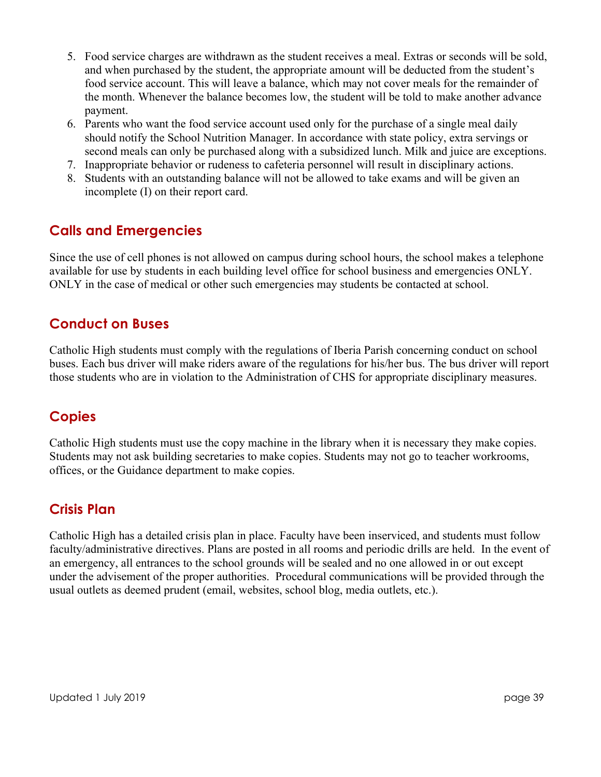- 5. Food service charges are withdrawn as the student receives a meal. Extras or seconds will be sold, and when purchased by the student, the appropriate amount will be deducted from the student's food service account. This will leave a balance, which may not cover meals for the remainder of the month. Whenever the balance becomes low, the student will be told to make another advance payment.
- 6. Parents who want the food service account used only for the purchase of a single meal daily should notify the School Nutrition Manager. In accordance with state policy, extra servings or second meals can only be purchased along with a subsidized lunch. Milk and juice are exceptions.
- 7. Inappropriate behavior or rudeness to cafeteria personnel will result in disciplinary actions.
- 8. Students with an outstanding balance will not be allowed to take exams and will be given an incomplete (I) on their report card.

## **Calls and Emergencies**

Since the use of cell phones is not allowed on campus during school hours, the school makes a telephone available for use by students in each building level office for school business and emergencies ONLY. ONLY in the case of medical or other such emergencies may students be contacted at school.

## **Conduct on Buses**

Catholic High students must comply with the regulations of Iberia Parish concerning conduct on school buses. Each bus driver will make riders aware of the regulations for his/her bus. The bus driver will report those students who are in violation to the Administration of CHS for appropriate disciplinary measures.

### **Copies**

Catholic High students must use the copy machine in the library when it is necessary they make copies. Students may not ask building secretaries to make copies. Students may not go to teacher workrooms, offices, or the Guidance department to make copies.

#### **Crisis Plan**

Catholic High has a detailed crisis plan in place. Faculty have been inserviced, and students must follow faculty/administrative directives. Plans are posted in all rooms and periodic drills are held. In the event of an emergency, all entrances to the school grounds will be sealed and no one allowed in or out except under the advisement of the proper authorities. Procedural communications will be provided through the usual outlets as deemed prudent (email, websites, school blog, media outlets, etc.).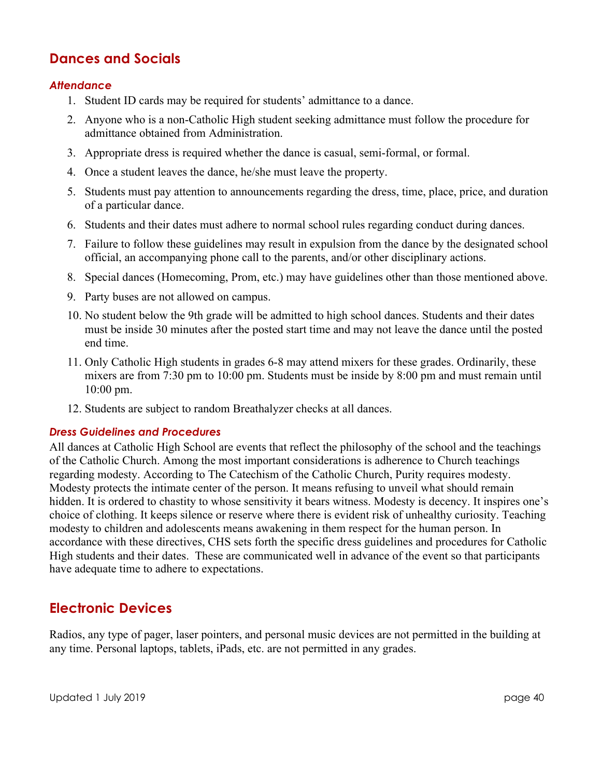#### **Dances and Socials**

#### *Attendance*

- 1. Student ID cards may be required for students' admittance to a dance.
- 2. Anyone who is a non-Catholic High student seeking admittance must follow the procedure for admittance obtained from Administration.
- 3. Appropriate dress is required whether the dance is casual, semi-formal, or formal.
- 4. Once a student leaves the dance, he/she must leave the property.
- 5. Students must pay attention to announcements regarding the dress, time, place, price, and duration of a particular dance.
- 6. Students and their dates must adhere to normal school rules regarding conduct during dances.
- 7. Failure to follow these guidelines may result in expulsion from the dance by the designated school official, an accompanying phone call to the parents, and/or other disciplinary actions.
- 8. Special dances (Homecoming, Prom, etc.) may have guidelines other than those mentioned above.
- 9. Party buses are not allowed on campus.
- 10. No student below the 9th grade will be admitted to high school dances. Students and their dates must be inside 30 minutes after the posted start time and may not leave the dance until the posted end time.
- 11. Only Catholic High students in grades 6-8 may attend mixers for these grades. Ordinarily, these mixers are from 7:30 pm to 10:00 pm. Students must be inside by 8:00 pm and must remain until 10:00 pm.
- 12. Students are subject to random Breathalyzer checks at all dances.

#### *Dress Guidelines and Procedures*

All dances at Catholic High School are events that reflect the philosophy of the school and the teachings of the Catholic Church. Among the most important considerations is adherence to Church teachings regarding modesty. According to The Catechism of the Catholic Church, Purity requires modesty. Modesty protects the intimate center of the person. It means refusing to unveil what should remain hidden. It is ordered to chastity to whose sensitivity it bears witness. Modesty is decency. It inspires one's choice of clothing. It keeps silence or reserve where there is evident risk of unhealthy curiosity. Teaching modesty to children and adolescents means awakening in them respect for the human person. In accordance with these directives, CHS sets forth the specific dress guidelines and procedures for Catholic High students and their dates. These are communicated well in advance of the event so that participants have adequate time to adhere to expectations.

#### **Electronic Devices**

Radios, any type of pager, laser pointers, and personal music devices are not permitted in the building at any time. Personal laptops, tablets, iPads, etc. are not permitted in any grades.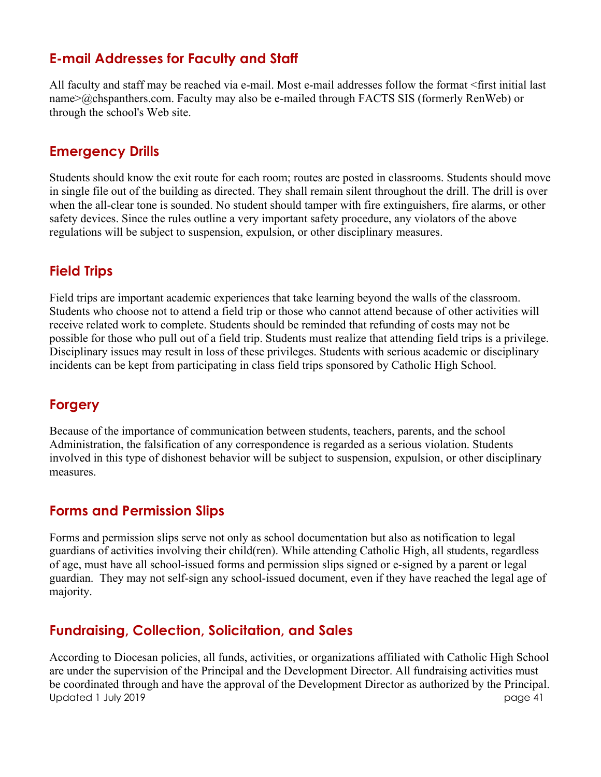#### **E-mail Addresses for Faculty and Staff**

All faculty and staff may be reached via e-mail. Most e-mail addresses follow the format <first initial last name>@chspanthers.com. Faculty may also be e-mailed through FACTS SIS (formerly RenWeb) or through the school's Web site.

#### **Emergency Drills**

Students should know the exit route for each room; routes are posted in classrooms. Students should move in single file out of the building as directed. They shall remain silent throughout the drill. The drill is over when the all-clear tone is sounded. No student should tamper with fire extinguishers, fire alarms, or other safety devices. Since the rules outline a very important safety procedure, any violators of the above regulations will be subject to suspension, expulsion, or other disciplinary measures.

#### **Field Trips**

Field trips are important academic experiences that take learning beyond the walls of the classroom. Students who choose not to attend a field trip or those who cannot attend because of other activities will receive related work to complete. Students should be reminded that refunding of costs may not be possible for those who pull out of a field trip. Students must realize that attending field trips is a privilege. Disciplinary issues may result in loss of these privileges. Students with serious academic or disciplinary incidents can be kept from participating in class field trips sponsored by Catholic High School.

### **Forgery**

Because of the importance of communication between students, teachers, parents, and the school Administration, the falsification of any correspondence is regarded as a serious violation. Students involved in this type of dishonest behavior will be subject to suspension, expulsion, or other disciplinary measures.

#### **Forms and Permission Slips**

Forms and permission slips serve not only as school documentation but also as notification to legal guardians of activities involving their child(ren). While attending Catholic High, all students, regardless of age, must have all school-issued forms and permission slips signed or e-signed by a parent or legal guardian. They may not self-sign any school-issued document, even if they have reached the legal age of majority.

### **Fundraising, Collection, Solicitation, and Sales**

Updated 1 July 2019 page 41 According to Diocesan policies, all funds, activities, or organizations affiliated with Catholic High School are under the supervision of the Principal and the Development Director. All fundraising activities must be coordinated through and have the approval of the Development Director as authorized by the Principal.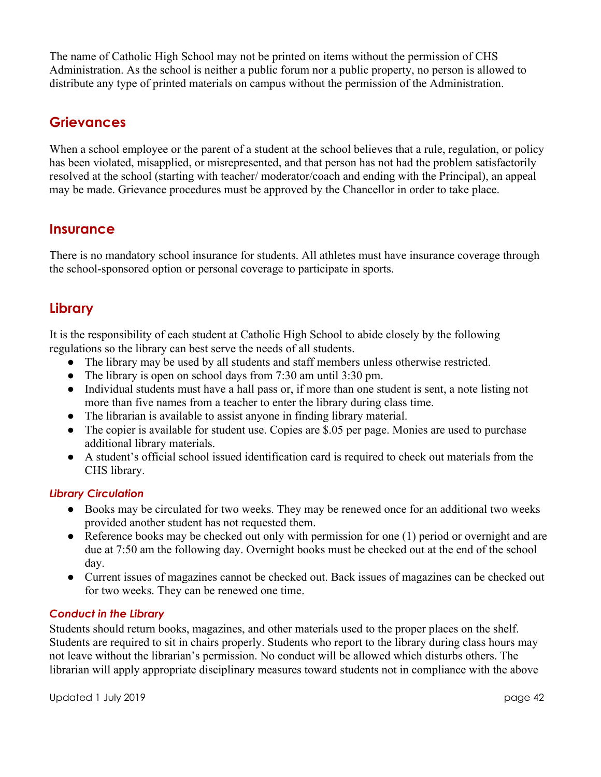The name of Catholic High School may not be printed on items without the permission of CHS Administration. As the school is neither a public forum nor a public property, no person is allowed to distribute any type of printed materials on campus without the permission of the Administration.

#### **Grievances**

When a school employee or the parent of a student at the school believes that a rule, regulation, or policy has been violated, misapplied, or misrepresented, and that person has not had the problem satisfactorily resolved at the school (starting with teacher/ moderator/coach and ending with the Principal), an appeal may be made. Grievance procedures must be approved by the Chancellor in order to take place.

#### **Insurance**

There is no mandatory school insurance for students. All athletes must have insurance coverage through the school-sponsored option or personal coverage to participate in sports.

#### **Library**

It is the responsibility of each student at Catholic High School to abide closely by the following regulations so the library can best serve the needs of all students.

- The library may be used by all students and staff members unless otherwise restricted.
- The library is open on school days from 7:30 am until 3:30 pm.
- Individual students must have a hall pass or, if more than one student is sent, a note listing not more than five names from a teacher to enter the library during class time.
- The librarian is available to assist anyone in finding library material.
- The copier is available for student use. Copies are \$.05 per page. Monies are used to purchase additional library materials.
- A student's official school issued identification card is required to check out materials from the CHS library.

#### *Library Circulation*

- Books may be circulated for two weeks. They may be renewed once for an additional two weeks provided another student has not requested them.
- Reference books may be checked out only with permission for one (1) period or overnight and are due at 7:50 am the following day. Overnight books must be checked out at the end of the school day.
- Current issues of magazines cannot be checked out. Back issues of magazines can be checked out for two weeks. They can be renewed one time.

#### *Conduct in the Library*

Students should return books, magazines, and other materials used to the proper places on the shelf. Students are required to sit in chairs properly. Students who report to the library during class hours may not leave without the librarian's permission. No conduct will be allowed which disturbs others. The librarian will apply appropriate disciplinary measures toward students not in compliance with the above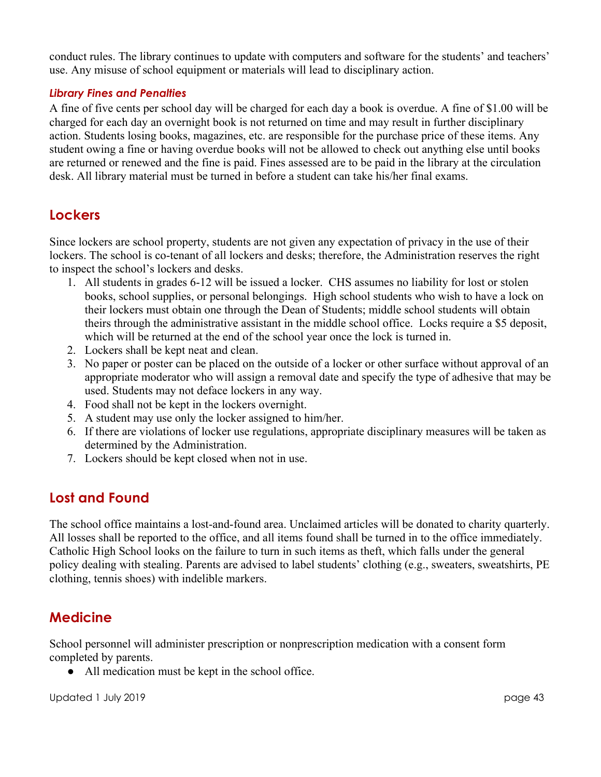conduct rules. The library continues to update with computers and software for the students' and teachers' use. Any misuse of school equipment or materials will lead to disciplinary action.

#### *Library Fines and Penalties*

A fine of five cents per school day will be charged for each day a book is overdue. A fine of \$1.00 will be charged for each day an overnight book is not returned on time and may result in further disciplinary action. Students losing books, magazines, etc. are responsible for the purchase price of these items. Any student owing a fine or having overdue books will not be allowed to check out anything else until books are returned or renewed and the fine is paid. Fines assessed are to be paid in the library at the circulation desk. All library material must be turned in before a student can take his/her final exams.

#### **Lockers**

Since lockers are school property, students are not given any expectation of privacy in the use of their lockers. The school is co-tenant of all lockers and desks; therefore, the Administration reserves the right to inspect the school's lockers and desks.

- 1. All students in grades 6-12 will be issued a locker. CHS assumes no liability for lost or stolen books, school supplies, or personal belongings. High school students who wish to have a lock on their lockers must obtain one through the Dean of Students; middle school students will obtain theirs through the administrative assistant in the middle school office. Locks require a \$5 deposit, which will be returned at the end of the school year once the lock is turned in.
- 2. Lockers shall be kept neat and clean.
- 3. No paper or poster can be placed on the outside of a locker or other surface without approval of an appropriate moderator who will assign a removal date and specify the type of adhesive that may be used. Students may not deface lockers in any way.
- 4. Food shall not be kept in the lockers overnight.
- 5. A student may use only the locker assigned to him/her.
- 6. If there are violations of locker use regulations, appropriate disciplinary measures will be taken as determined by the Administration.
- 7. Lockers should be kept closed when not in use.

### **Lost and Found**

The school office maintains a lost-and-found area. Unclaimed articles will be donated to charity quarterly. All losses shall be reported to the office, and all items found shall be turned in to the office immediately. Catholic High School looks on the failure to turn in such items as theft, which falls under the general policy dealing with stealing. Parents are advised to label students' clothing (e.g., sweaters, sweatshirts, PE clothing, tennis shoes) with indelible markers.

#### **Medicine**

School personnel will administer prescription or nonprescription medication with a consent form completed by parents.

• All medication must be kept in the school office.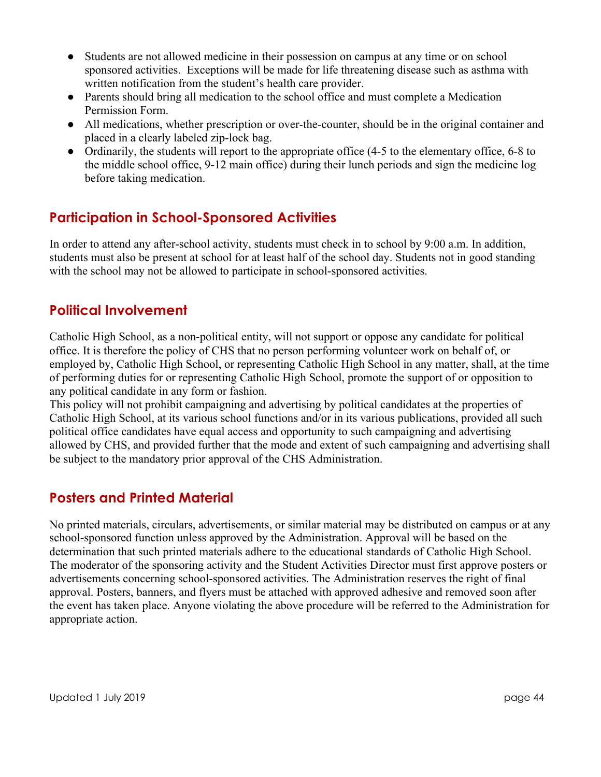- Students are not allowed medicine in their possession on campus at any time or on school sponsored activities. Exceptions will be made for life threatening disease such as asthma with written notification from the student's health care provider.
- Parents should bring all medication to the school office and must complete a Medication Permission Form.
- All medications, whether prescription or over-the-counter, should be in the original container and placed in a clearly labeled zip-lock bag.
- Ordinarily, the students will report to the appropriate office (4-5 to the elementary office, 6-8 to the middle school office, 9-12 main office) during their lunch periods and sign the medicine log before taking medication.

## **Participation in School-Sponsored Activities**

In order to attend any after-school activity, students must check in to school by 9:00 a.m. In addition, students must also be present at school for at least half of the school day. Students not in good standing with the school may not be allowed to participate in school-sponsored activities.

## **Political Involvement**

Catholic High School, as a non-political entity, will not support or oppose any candidate for political office. It is therefore the policy of CHS that no person performing volunteer work on behalf of, or employed by, Catholic High School, or representing Catholic High School in any matter, shall, at the time of performing duties for or representing Catholic High School, promote the support of or opposition to any political candidate in any form or fashion.

This policy will not prohibit campaigning and advertising by political candidates at the properties of Catholic High School, at its various school functions and/or in its various publications, provided all such political office candidates have equal access and opportunity to such campaigning and advertising allowed by CHS, and provided further that the mode and extent of such campaigning and advertising shall be subject to the mandatory prior approval of the CHS Administration.

## **Posters and Printed Material**

No printed materials, circulars, advertisements, or similar material may be distributed on campus or at any school-sponsored function unless approved by the Administration. Approval will be based on the determination that such printed materials adhere to the educational standards of Catholic High School. The moderator of the sponsoring activity and the Student Activities Director must first approve posters or advertisements concerning school-sponsored activities. The Administration reserves the right of final approval. Posters, banners, and flyers must be attached with approved adhesive and removed soon after the event has taken place. Anyone violating the above procedure will be referred to the Administration for appropriate action.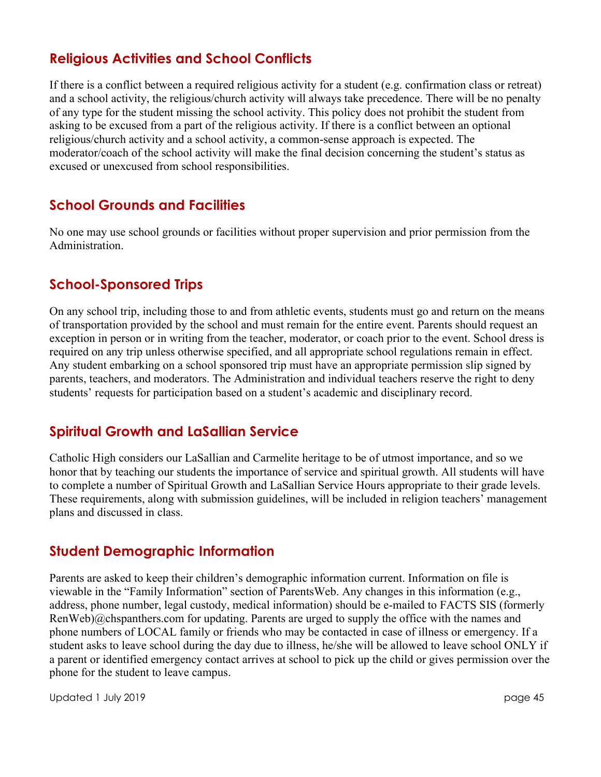### **Religious Activities and School Conflicts**

If there is a conflict between a required religious activity for a student (e.g. confirmation class or retreat) and a school activity, the religious/church activity will always take precedence. There will be no penalty of any type for the student missing the school activity. This policy does not prohibit the student from asking to be excused from a part of the religious activity. If there is a conflict between an optional religious/church activity and a school activity, a common-sense approach is expected. The moderator/coach of the school activity will make the final decision concerning the student's status as excused or unexcused from school responsibilities.

#### **School Grounds and Facilities**

No one may use school grounds or facilities without proper supervision and prior permission from the Administration.

#### **School-Sponsored Trips**

On any school trip, including those to and from athletic events, students must go and return on the means of transportation provided by the school and must remain for the entire event. Parents should request an exception in person or in writing from the teacher, moderator, or coach prior to the event. School dress is required on any trip unless otherwise specified, and all appropriate school regulations remain in effect. Any student embarking on a school sponsored trip must have an appropriate permission slip signed by parents, teachers, and moderators. The Administration and individual teachers reserve the right to deny students' requests for participation based on a student's academic and disciplinary record.

#### **Spiritual Growth and LaSallian Service**

Catholic High considers our LaSallian and Carmelite heritage to be of utmost importance, and so we honor that by teaching our students the importance of service and spiritual growth. All students will have to complete a number of Spiritual Growth and LaSallian Service Hours appropriate to their grade levels. These requirements, along with submission guidelines, will be included in religion teachers' management plans and discussed in class.

#### **Student Demographic Information**

Parents are asked to keep their children's demographic information current. Information on file is viewable in the "Family Information" section of ParentsWeb. Any changes in this information (e.g., address, phone number, legal custody, medical information) should be e-mailed to FACTS SIS (formerly RenWeb)@chspanthers.com for updating. Parents are urged to supply the office with the names and phone numbers of LOCAL family or friends who may be contacted in case of illness or emergency. If a student asks to leave school during the day due to illness, he/she will be allowed to leave school ONLY if a parent or identified emergency contact arrives at school to pick up the child or gives permission over the phone for the student to leave campus.

Updated 1 July 2019 page 45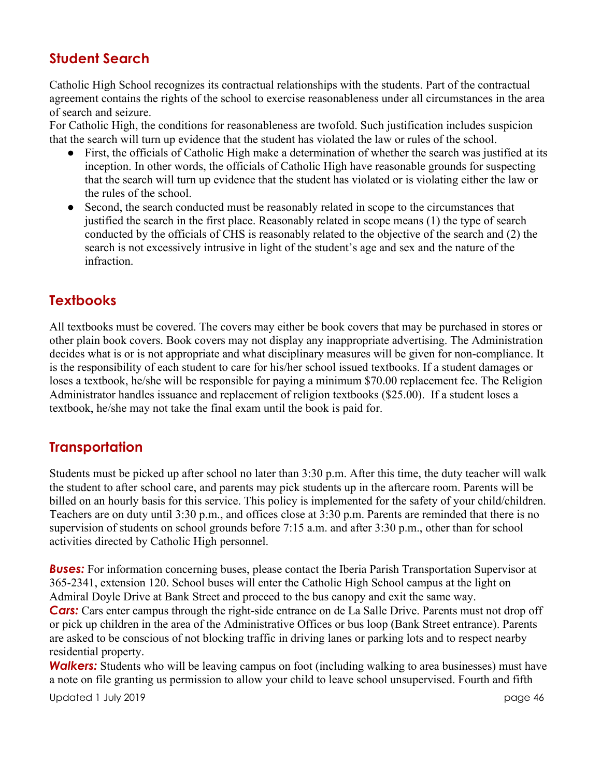## **Student Search**

Catholic High School recognizes its contractual relationships with the students. Part of the contractual agreement contains the rights of the school to exercise reasonableness under all circumstances in the area of search and seizure.

For Catholic High, the conditions for reasonableness are twofold. Such justification includes suspicion that the search will turn up evidence that the student has violated the law or rules of the school.

- First, the officials of Catholic High make a determination of whether the search was justified at its inception. In other words, the officials of Catholic High have reasonable grounds for suspecting that the search will turn up evidence that the student has violated or is violating either the law or the rules of the school.
- Second, the search conducted must be reasonably related in scope to the circumstances that justified the search in the first place. Reasonably related in scope means (1) the type of search conducted by the officials of CHS is reasonably related to the objective of the search and (2) the search is not excessively intrusive in light of the student's age and sex and the nature of the infraction.

### **Textbooks**

All textbooks must be covered. The covers may either be book covers that may be purchased in stores or other plain book covers. Book covers may not display any inappropriate advertising. The Administration decides what is or is not appropriate and what disciplinary measures will be given for non-compliance. It is the responsibility of each student to care for his/her school issued textbooks. If a student damages or loses a textbook, he/she will be responsible for paying a minimum \$70.00 replacement fee. The Religion Administrator handles issuance and replacement of religion textbooks (\$25.00). If a student loses a textbook, he/she may not take the final exam until the book is paid for.

#### **Transportation**

Students must be picked up after school no later than 3:30 p.m. After this time, the duty teacher will walk the student to after school care, and parents may pick students up in the aftercare room. Parents will be billed on an hourly basis for this service. This policy is implemented for the safety of your child/children. Teachers are on duty until 3:30 p.m., and offices close at 3:30 p.m. Parents are reminded that there is no supervision of students on school grounds before 7:15 a.m. and after 3:30 p.m., other than for school activities directed by Catholic High personnel.

*Buses:* For information concerning buses, please contact the Iberia Parish Transportation Supervisor at 365-2341, extension 120. School buses will enter the Catholic High School campus at the light on Admiral Doyle Drive at Bank Street and proceed to the bus canopy and exit the same way. **Cars:** Cars enter campus through the right-side entrance on de La Salle Drive. Parents must not drop off or pick up children in the area of the Administrative Offices or bus loop (Bank Street entrance). Parents are asked to be conscious of not blocking traffic in driving lanes or parking lots and to respect nearby residential property.

*Walkers:* Students who will be leaving campus on foot (including walking to area businesses) must have a note on file granting us permission to allow your child to leave school unsupervised. Fourth and fifth

Updated 1 July 2019 page 46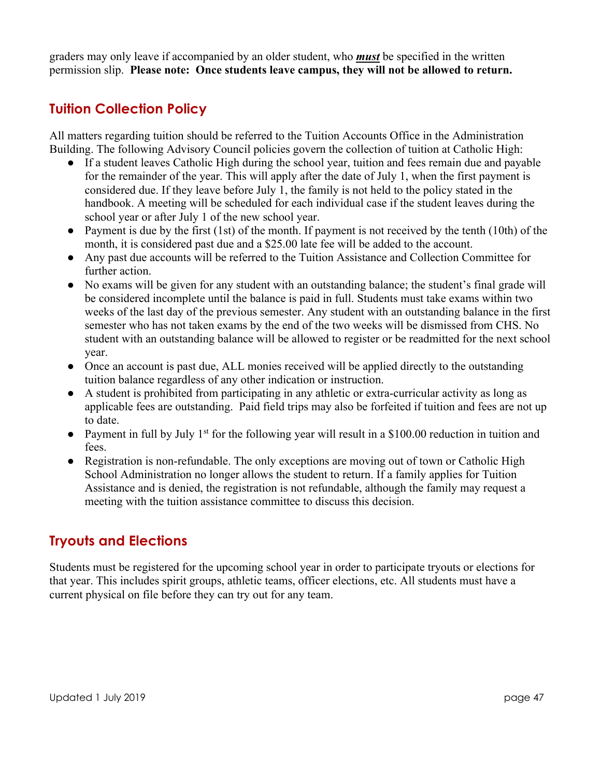graders may only leave if accompanied by an older student, who *must* be specified in the written permission slip. **Please note: Once students leave campus, they will not be allowed to return.**

### **Tuition Collection Policy**

All matters regarding tuition should be referred to the Tuition Accounts Office in the Administration Building. The following Advisory Council policies govern the collection of tuition at Catholic High:

- If a student leaves Catholic High during the school year, tuition and fees remain due and payable for the remainder of the year. This will apply after the date of July 1, when the first payment is considered due. If they leave before July 1, the family is not held to the policy stated in the handbook. A meeting will be scheduled for each individual case if the student leaves during the school year or after July 1 of the new school year.
- Payment is due by the first  $(1st)$  of the month. If payment is not received by the tenth  $(10th)$  of the month, it is considered past due and a \$25.00 late fee will be added to the account.
- Any past due accounts will be referred to the Tuition Assistance and Collection Committee for further action.
- No exams will be given for any student with an outstanding balance; the student's final grade will be considered incomplete until the balance is paid in full. Students must take exams within two weeks of the last day of the previous semester. Any student with an outstanding balance in the first semester who has not taken exams by the end of the two weeks will be dismissed from CHS. No student with an outstanding balance will be allowed to register or be readmitted for the next school year.
- Once an account is past due, ALL monies received will be applied directly to the outstanding tuition balance regardless of any other indication or instruction.
- A student is prohibited from participating in any athletic or extra-curricular activity as long as applicable fees are outstanding. Paid field trips may also be forfeited if tuition and fees are not up to date.
- Payment in full by July 1<sup>st</sup> for the following year will result in a \$100.00 reduction in tuition and fees.
- Registration is non-refundable. The only exceptions are moving out of town or Catholic High School Administration no longer allows the student to return. If a family applies for Tuition Assistance and is denied, the registration is not refundable, although the family may request a meeting with the tuition assistance committee to discuss this decision.

### **Tryouts and Elections**

Students must be registered for the upcoming school year in order to participate tryouts or elections for that year. This includes spirit groups, athletic teams, officer elections, etc. All students must have a current physical on file before they can try out for any team.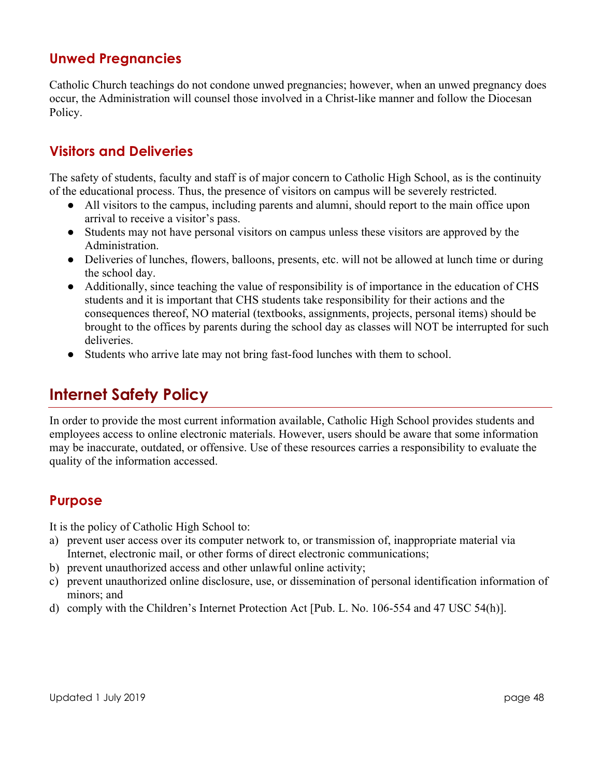#### **Unwed Pregnancies**

Catholic Church teachings do not condone unwed pregnancies; however, when an unwed pregnancy does occur, the Administration will counsel those involved in a Christ-like manner and follow the Diocesan Policy.

#### **Visitors and Deliveries**

The safety of students, faculty and staff is of major concern to Catholic High School, as is the continuity of the educational process. Thus, the presence of visitors on campus will be severely restricted.

- All visitors to the campus, including parents and alumni, should report to the main office upon arrival to receive a visitor's pass.
- Students may not have personal visitors on campus unless these visitors are approved by the Administration.
- Deliveries of lunches, flowers, balloons, presents, etc. will not be allowed at lunch time or during the school day.
- Additionally, since teaching the value of responsibility is of importance in the education of CHS students and it is important that CHS students take responsibility for their actions and the consequences thereof, NO material (textbooks, assignments, projects, personal items) should be brought to the offices by parents during the school day as classes will NOT be interrupted for such deliveries.
- Students who arrive late may not bring fast-food lunches with them to school.

## **Internet Safety Policy**

In order to provide the most current information available, Catholic High School provides students and employees access to online electronic materials. However, users should be aware that some information may be inaccurate, outdated, or offensive. Use of these resources carries a responsibility to evaluate the quality of the information accessed.

#### **Purpose**

It is the policy of Catholic High School to:

- a) prevent user access over its computer network to, or transmission of, inappropriate material via Internet, electronic mail, or other forms of direct electronic communications;
- b) prevent unauthorized access and other unlawful online activity;
- c) prevent unauthorized online disclosure, use, or dissemination of personal identification information of minors; and
- d) comply with the Children's Internet Protection Act [Pub. L. No. 106-554 and 47 USC 54(h)].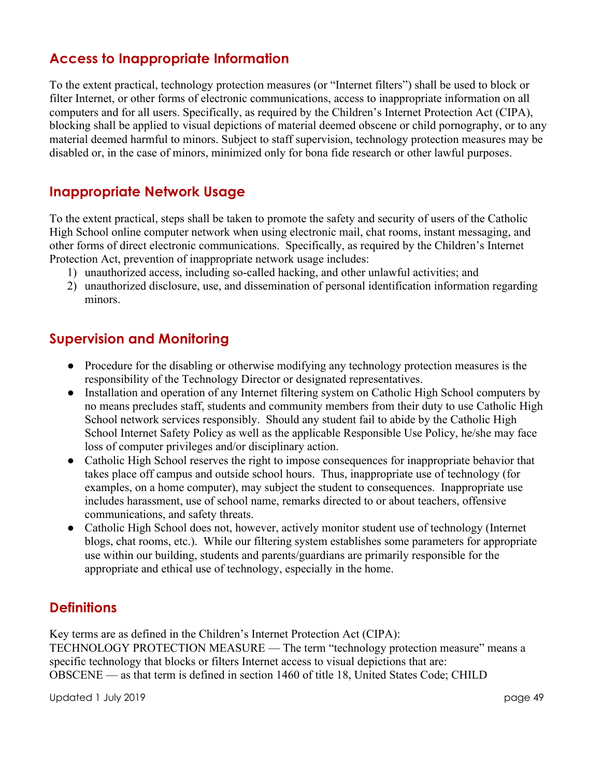### **Access to Inappropriate Information**

To the extent practical, technology protection measures (or "Internet filters") shall be used to block or filter Internet, or other forms of electronic communications, access to inappropriate information on all computers and for all users. Specifically, as required by the Children's Internet Protection Act (CIPA), blocking shall be applied to visual depictions of material deemed obscene or child pornography, or to any material deemed harmful to minors. Subject to staff supervision, technology protection measures may be disabled or, in the case of minors, minimized only for bona fide research or other lawful purposes.

#### **Inappropriate Network Usage**

To the extent practical, steps shall be taken to promote the safety and security of users of the Catholic High School online computer network when using electronic mail, chat rooms, instant messaging, and other forms of direct electronic communications. Specifically, as required by the Children's Internet Protection Act, prevention of inappropriate network usage includes:

- 1) unauthorized access, including so-called hacking, and other unlawful activities; and
- 2) unauthorized disclosure, use, and dissemination of personal identification information regarding minors.

#### **Supervision and Monitoring**

- Procedure for the disabling or otherwise modifying any technology protection measures is the responsibility of the Technology Director or designated representatives.
- Installation and operation of any Internet filtering system on Catholic High School computers by no means precludes staff, students and community members from their duty to use Catholic High School network services responsibly. Should any student fail to abide by the Catholic High School Internet Safety Policy as well as the applicable Responsible Use Policy, he/she may face loss of computer privileges and/or disciplinary action.
- Catholic High School reserves the right to impose consequences for inappropriate behavior that takes place off campus and outside school hours. Thus, inappropriate use of technology (for examples, on a home computer), may subject the student to consequences. Inappropriate use includes harassment, use of school name, remarks directed to or about teachers, offensive communications, and safety threats.
- Catholic High School does not, however, actively monitor student use of technology (Internet blogs, chat rooms, etc.). While our filtering system establishes some parameters for appropriate use within our building, students and parents/guardians are primarily responsible for the appropriate and ethical use of technology, especially in the home.

#### **Definitions**

Key terms are as defined in the Children's Internet Protection Act (CIPA): TECHNOLOGY PROTECTION MEASURE — The term "technology protection measure" means a specific technology that blocks or filters Internet access to visual depictions that are: OBSCENE — as that term is defined in section 1460 of title 18, United States Code; CHILD

Updated 1 July 2019 page 49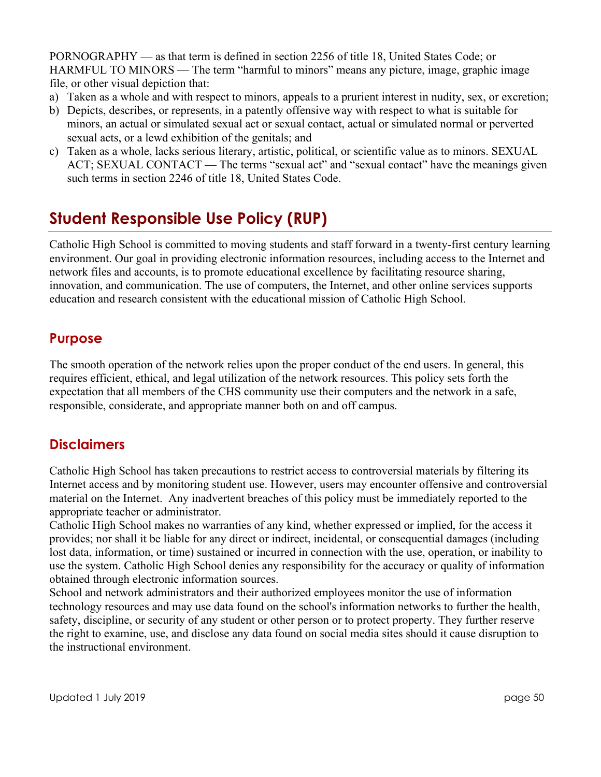PORNOGRAPHY — as that term is defined in section 2256 of title 18, United States Code; or HARMFUL TO MINORS — The term "harmful to minors" means any picture, image, graphic image file, or other visual depiction that:

- a) Taken as a whole and with respect to minors, appeals to a prurient interest in nudity, sex, or excretion;
- b) Depicts, describes, or represents, in a patently offensive way with respect to what is suitable for minors, an actual or simulated sexual act or sexual contact, actual or simulated normal or perverted sexual acts, or a lewd exhibition of the genitals; and
- c) Taken as a whole, lacks serious literary, artistic, political, or scientific value as to minors. SEXUAL ACT; SEXUAL CONTACT — The terms "sexual act" and "sexual contact" have the meanings given such terms in section 2246 of title 18, United States Code.

## **Student Responsible Use Policy (RUP)**

Catholic High School is committed to moving students and staff forward in a twenty-first century learning environment. Our goal in providing electronic information resources, including access to the Internet and network files and accounts, is to promote educational excellence by facilitating resource sharing, innovation, and communication. The use of computers, the Internet, and other online services supports education and research consistent with the educational mission of Catholic High School.

#### **Purpose**

The smooth operation of the network relies upon the proper conduct of the end users. In general, this requires efficient, ethical, and legal utilization of the network resources. This policy sets forth the expectation that all members of the CHS community use their computers and the network in a safe, responsible, considerate, and appropriate manner both on and off campus.

### **Disclaimers**

Catholic High School has taken precautions to restrict access to controversial materials by filtering its Internet access and by monitoring student use. However, users may encounter offensive and controversial material on the Internet. Any inadvertent breaches of this policy must be immediately reported to the appropriate teacher or administrator.

Catholic High School makes no warranties of any kind, whether expressed or implied, for the access it provides; nor shall it be liable for any direct or indirect, incidental, or consequential damages (including lost data, information, or time) sustained or incurred in connection with the use, operation, or inability to use the system. Catholic High School denies any responsibility for the accuracy or quality of information obtained through electronic information sources.

School and network administrators and their authorized employees monitor the use of information technology resources and may use data found on the school's information networks to further the health, safety, discipline, or security of any student or other person or to protect property. They further reserve the right to examine, use, and disclose any data found on social media sites should it cause disruption to the instructional environment.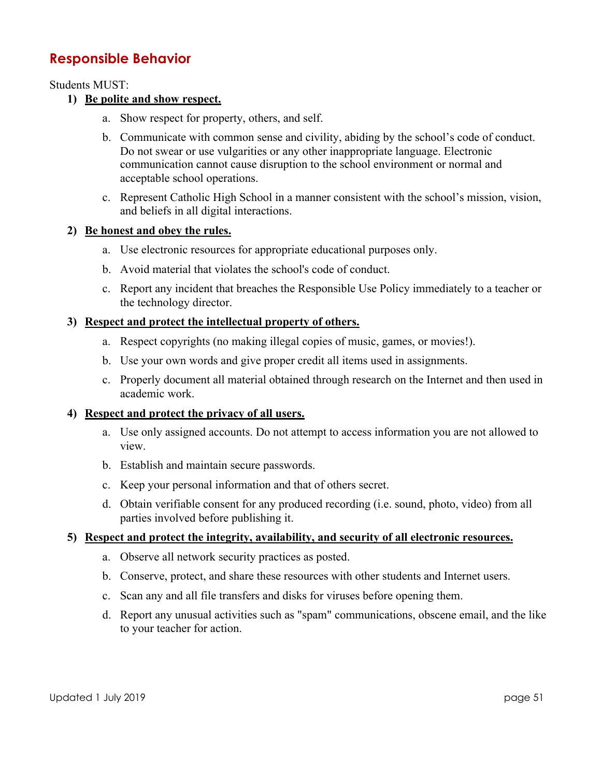#### **Responsible Behavior**

Students MUST:

#### **1) Be polite and show respect.**

- a. Show respect for property, others, and self.
- b. Communicate with common sense and civility, abiding by the school's code of conduct. Do not swear or use vulgarities or any other inappropriate language. Electronic communication cannot cause disruption to the school environment or normal and acceptable school operations.
- c. Represent Catholic High School in a manner consistent with the school's mission, vision, and beliefs in all digital interactions.

#### **2) Be honest and obey the rules.**

- a. Use electronic resources for appropriate educational purposes only.
- b. Avoid material that violates the school's code of conduct.
- c. Report any incident that breaches the Responsible Use Policy immediately to a teacher or the technology director.

#### **3) Respect and protect the intellectual property of others.**

- a. Respect copyrights (no making illegal copies of music, games, or movies!).
- b. Use your own words and give proper credit all items used in assignments.
- c. Properly document all material obtained through research on the Internet and then used in academic work.

#### **4) Respect and protect the privacy of all users.**

- a. Use only assigned accounts. Do not attempt to access information you are not allowed to view.
- b. Establish and maintain secure passwords.
- c. Keep your personal information and that of others secret.
- d. Obtain verifiable consent for any produced recording (i.e. sound, photo, video) from all parties involved before publishing it.

#### **5) Respect and protect the integrity, availability, and security of all electronic resources.**

- a. Observe all network security practices as posted.
- b. Conserve, protect, and share these resources with other students and Internet users.
- c. Scan any and all file transfers and disks for viruses before opening them.
- d. Report any unusual activities such as "spam" communications, obscene email, and the like to your teacher for action.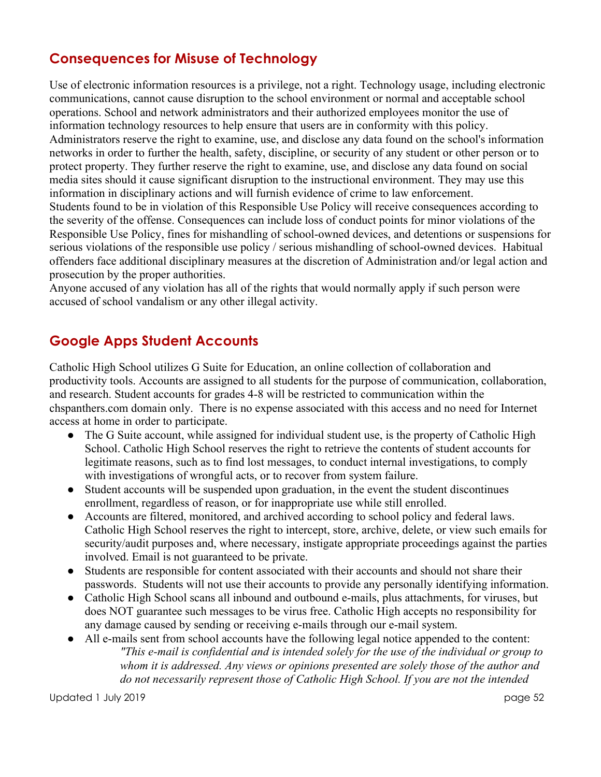### **Consequences for Misuse of Technology**

Use of electronic information resources is a privilege, not a right. Technology usage, including electronic communications, cannot cause disruption to the school environment or normal and acceptable school operations. School and network administrators and their authorized employees monitor the use of information technology resources to help ensure that users are in conformity with this policy. Administrators reserve the right to examine, use, and disclose any data found on the school's information networks in order to further the health, safety, discipline, or security of any student or other person or to protect property. They further reserve the right to examine, use, and disclose any data found on social media sites should it cause significant disruption to the instructional environment. They may use this information in disciplinary actions and will furnish evidence of crime to law enforcement. Students found to be in violation of this Responsible Use Policy will receive consequences according to the severity of the offense. Consequences can include loss of conduct points for minor violations of the Responsible Use Policy, fines for mishandling of school-owned devices, and detentions or suspensions for serious violations of the responsible use policy / serious mishandling of school-owned devices. Habitual offenders face additional disciplinary measures at the discretion of Administration and/or legal action and prosecution by the proper authorities.

Anyone accused of any violation has all of the rights that would normally apply if such person were accused of school vandalism or any other illegal activity.

## **Google Apps Student Accounts**

Catholic High School utilizes G Suite for Education, an online collection of collaboration and productivity tools. Accounts are assigned to all students for the purpose of communication, collaboration, and research. Student accounts for grades 4-8 will be restricted to communication within the chspanthers.com domain only. There is no expense associated with this access and no need for Internet access at home in order to participate.

- The G Suite account, while assigned for individual student use, is the property of Catholic High School. Catholic High School reserves the right to retrieve the contents of student accounts for legitimate reasons, such as to find lost messages, to conduct internal investigations, to comply with investigations of wrongful acts, or to recover from system failure.
- Student accounts will be suspended upon graduation, in the event the student discontinues enrollment, regardless of reason, or for inappropriate use while still enrolled.
- Accounts are filtered, monitored, and archived according to school policy and federal laws. Catholic High School reserves the right to intercept, store, archive, delete, or view such emails for security/audit purposes and, where necessary, instigate appropriate proceedings against the parties involved. Email is not guaranteed to be private.
- Students are responsible for content associated with their accounts and should not share their passwords. Students will not use their accounts to provide any personally identifying information.
- Catholic High School scans all inbound and outbound e-mails, plus attachments, for viruses, but does NOT guarantee such messages to be virus free. Catholic High accepts no responsibility for any damage caused by sending or receiving e-mails through our e-mail system.
- All e-mails sent from school accounts have the following legal notice appended to the content: *"This e-mail is confidential and is intended solely for the use of the individual or group to whom it is addressed. Any views or opinions presented are solely those of the author and do not necessarily represent those of Catholic High School. If you are not the intended*

Updated 1 July 2019 page 52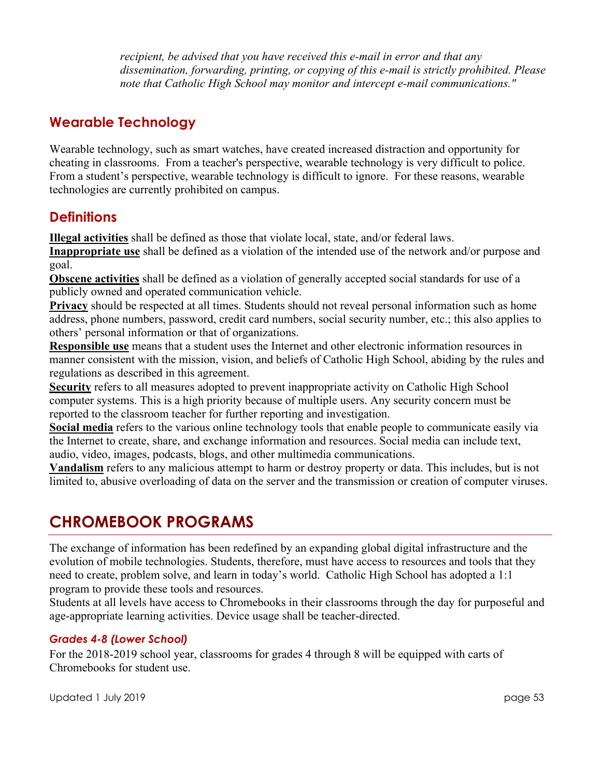*recipient, be advised that you have received this e-mail in error and that any dissemination, forwarding, printing, or copying of this e-mail is strictly prohibited. Please note that Catholic High School may monitor and intercept e-mail communications."*

#### **Wearable Technology**

Wearable technology, such as smart watches, have created increased distraction and opportunity for cheating in classrooms. From a teacher's perspective, wearable technology is very difficult to police. From a student's perspective, wearable technology is difficult to ignore. For these reasons, wearable technologies are currently prohibited on campus.

#### **Definitions**

**Illegal activities** shall be defined as those that violate local, state, and/or federal laws.

**Inappropriate use** shall be defined as a violation of the intended use of the network and/or purpose and goal.

**Obscene activities** shall be defined as a violation of generally accepted social standards for use of a publicly owned and operated communication vehicle.

**Privacy** should be respected at all times. Students should not reveal personal information such as home address, phone numbers, password, credit card numbers, social security number, etc.; this also applies to others' personal information or that of organizations.

**Responsible use** means that a student uses the Internet and other electronic information resources in manner consistent with the mission, vision, and beliefs of Catholic High School, abiding by the rules and regulations as described in this agreement.

**Security** refers to all measures adopted to prevent inappropriate activity on Catholic High School computer systems. This is a high priority because of multiple users. Any security concern must be reported to the classroom teacher for further reporting and investigation.

**Social media** refers to the various online technology tools that enable people to communicate easily via the Internet to create, share, and exchange information and resources. Social media can include text, audio, video, images, podcasts, blogs, and other multimedia communications.

**Vandalism** refers to any malicious attempt to harm or destroy property or data. This includes, but is not limited to, abusive overloading of data on the server and the transmission or creation of computer viruses.

## **CHROMEBOOK PROGRAMS**

The exchange of information has been redefined by an expanding global digital infrastructure and the evolution of mobile technologies. Students, therefore, must have access to resources and tools that they need to create, problem solve, and learn in today's world. Catholic High School has adopted a 1:1 program to provide these tools and resources.

Students at all levels have access to Chromebooks in their classrooms through the day for purposeful and age-appropriate learning activities. Device usage shall be teacher-directed.

#### *Grades 4-8 (Lower School)*

For the 2018-2019 school year, classrooms for grades 4 through 8 will be equipped with carts of Chromebooks for student use.